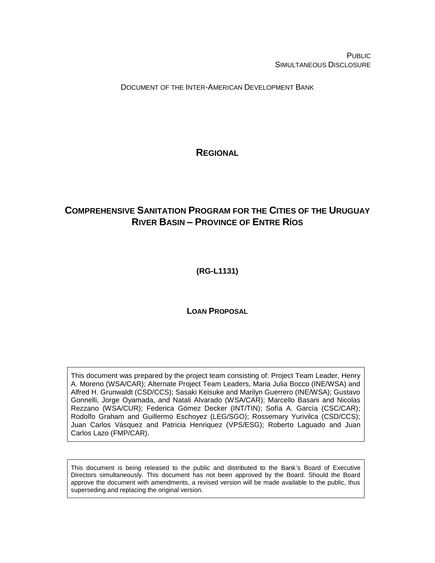PUBLIC SIMULTANEOUS DISCLOSURE

DOCUMENT OF THE INTER-AMERICAN DEVELOPMENT BANK

**REGIONAL**

# <span id="page-0-0"></span>**COMPREHENSIVE SANITATION PROGRAM FOR THE CITIES OF THE URUGUAY RIVER BASIN – PROVINCE OF ENTRE RÍOS**

<span id="page-0-1"></span>**(RG-L1131)**

**LOAN PROPOSAL**

This document was prepared by the project team consisting of: Project Team Leader, Henry A. Moreno (WSA/CAR); Alternate Project Team Leaders, Maria Julia Bocco (INE/WSA) and Alfred H. Grunwaldt (CSD/CCS); Sasaki Keisuke and Marilyn Guerrero (INE/WSA); Gustavo Gonnelli, Jorge Oyamada, and Natali Alvarado (WSA/CAR); Marcello Basani and Nicolas Rezzano (WSA/CUR); Federica Gómez Decker (INT/TIN); Sofía A. García (CSC/CAR); Rodolfo Graham and Guillermo Eschoyez (LEG/SGO); Rossemary Yurivilca (CSD/CCS); Juan Carlos Vásquez and Patricia Henriquez (VPS/ESG); Roberto Laguado and Juan Carlos Lazo (FMP/CAR).

This document is being released to the public and distributed to the Bank's Board of Executive Directors simultaneously. This document has not been approved by the Board. Should the Board approve the document with amendments, a revised version will be made available to the public, thus superseding and replacing the original version.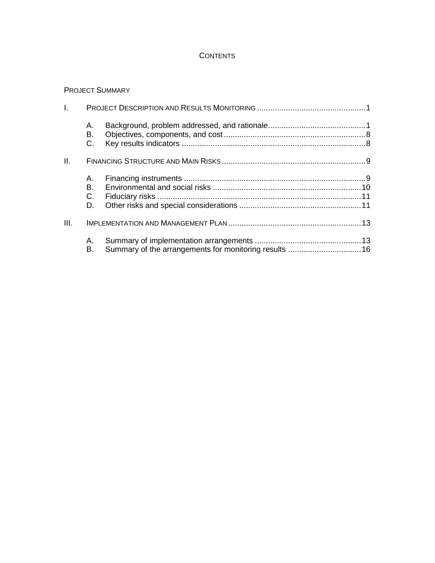## **CONTENTS**

### PROJECT SUMMARY

| I.   |                      |  |
|------|----------------------|--|
|      | А.<br>В.<br>C.       |  |
| Ш.   |                      |  |
|      | А.<br>В.<br>C.<br>D. |  |
| III. |                      |  |
|      | А.<br>В.             |  |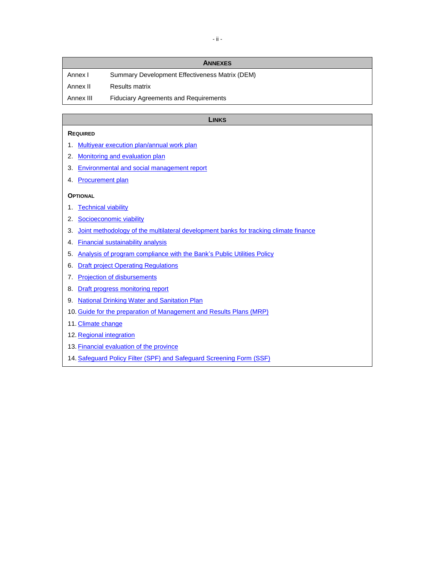|           | <b>ANNEXES</b>                                 |
|-----------|------------------------------------------------|
| Annex I   | Summary Development Effectiveness Matrix (DEM) |
| Annex II  | Results matrix                                 |
| Annex III | <b>Fiduciary Agreements and Requirements</b>   |

#### **LINKS**

#### **REQUIRED**

- 1. [Multiyear execution plan/annual work plan](http://idbdocs.iadb.org/wsdocs/getDocument.aspx?DOCNUM=EZSHARE-1117939182-28)
- 2. [Monitoring and evaluation plan](http://idbdocs.iadb.org/wsdocs/getDocument.aspx?DOCNUM=EZSHARE-1117939182-48)
- 3. [Environmental and social management report](http://idbdocs.iadb.org/wsdocs/getDocument.aspx?DOCNUM=EZSHARE-1117939182-46)
- 4. [Procurement plan](http://idbdocs.iadb.org/wsdocs/getDocument.aspx?DOCNUM=EZSHARE-1117939182-29)

#### **OPTIONAL**

- 1. [Technical viability](http://idbdocs.iadb.org/wsdocs/getDocument.aspx?DOCNUM=EZSHARE-1117939182-38)
- 2. [Socioeconomic viability](http://idbdocs.iadb.org/wsdocs/getDocument.aspx?DOCNUM=EZSHARE-1117939182-17)
- 3. [Joint methodology of the multilateral development banks for tracking climate finance](http://idbdocs.iadb.org/wsdocs/getDocument.aspx?DOCNUM=EZSHARE-1117939182-56)
- 4. [Financial sustainability analysis](http://idbdocs.iadb.org/wsdocs/getDocument.aspx?DOCNUM=EZSHARE-1117939182-18)
- 5. [Analysis of program compliance with the Bank's Public Utilities Policy](http://idbdocs.iadb.org/wsdocs/getDocument.aspx?DOCNUM=EZSHARE-1117939182-19)
- 6. [Draft project Operating Regulations](http://idbdocs.iadb.org/wsdocs/getDocument.aspx?DOCNUM=EZSHARE-1117939182-24)
- 7. [Projection of disbursements](http://idbdocs.iadb.org/wsdocs/getDocument.aspx?DOCNUM=EZSHARE-1117939182-30)
- 8. [Draft progress monitoring report](http://idbdocs.iadb.org/wsdocs/getDocument.aspx?DOCNUM=EZSHARE-1117939182-31)
- 9. [National Drinking Water and Sanitation Plan](http://idbdocs.iadb.org/wsdocs/getDocument.aspx?DOCNUM=EZSHARE-703622582-4)
- 10. [Guide for the preparation of Management and Results Plans \(MRP\)](http://idbdocs.iadb.org/wsdocs/getDocument.aspx?DOCNUM=EZSHARE-703622582-3)
- 11. [Climate change](http://idbdocs.iadb.org/wsdocs/getDocument.aspx?DOCNUM=EZSHARE-1117939182-41)
- 12. [Regional integration](http://idbdocs.iadb.org/wsdocs/getDocument.aspx?DOCNUM=EZSHARE-1117939182-35)
- 13. [Financial evaluation of the province](http://idbdocs.iadb.org/wsdocs/getDocument.aspx?DOCNUM=EZSHARE-1117939182-45)
- 14. Safeguard Policy Filter (SPF) and [Safeguard Screening Form](http://idbdocs.iadb.org/wsdocs/getDocument.aspx?DOCNUM=EZSHARE-1117939182-67) (SSF)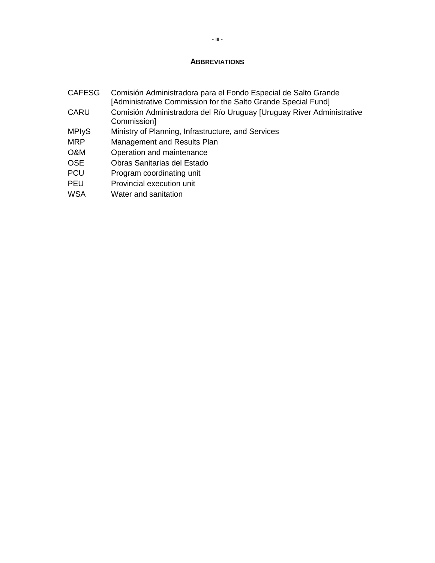### **ABBREVIATIONS**

- CAFESG Comisión Administradora para el Fondo Especial de Salto Grande [Administrative Commission for the Salto Grande Special Fund]
- CARU Comisión Administradora del Río Uruguay [Uruguay River Administrative Commission]
- MPIyS Ministry of Planning, Infrastructure, and Services
- MRP Management and Results Plan
- O&M Operation and maintenance
- OSE Obras Sanitarias del Estado
- PCU Program coordinating unit
- PEU Provincial execution unit
- WSA Water and sanitation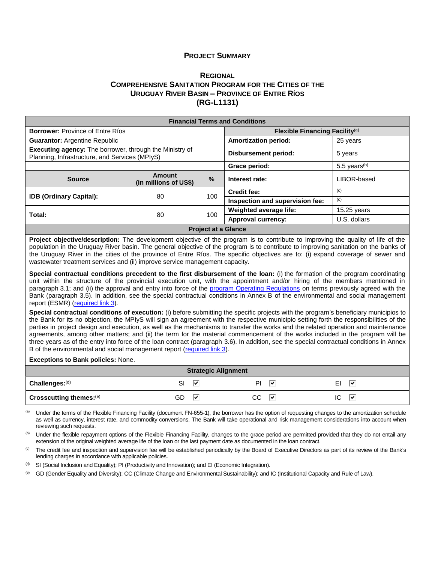#### **PROJECT SUMMARY**

### **R[EGIONAL](#page-0-0) COMPREHENSIVE SANITATION PROGRAM FOR THE CITIES OF THE URUGUAY RIVER BASIN – PROVINCE OF ENTRE RÍOS [\(RG-L1131\)](#page-0-1)**

|                                                                                                                                                                                                                                                                                                                                                                                                                                                                                                                                                                                                                                                                                                                                                                                                                                                                                                                                                                                                                                                                                                                                                                                                                                                                                                                                                                                                                                                                                                                                                                                                                                                                                                                      |                                        |                             | <b>Financial Terms and Conditions</b> |                                            |          |              |  |
|----------------------------------------------------------------------------------------------------------------------------------------------------------------------------------------------------------------------------------------------------------------------------------------------------------------------------------------------------------------------------------------------------------------------------------------------------------------------------------------------------------------------------------------------------------------------------------------------------------------------------------------------------------------------------------------------------------------------------------------------------------------------------------------------------------------------------------------------------------------------------------------------------------------------------------------------------------------------------------------------------------------------------------------------------------------------------------------------------------------------------------------------------------------------------------------------------------------------------------------------------------------------------------------------------------------------------------------------------------------------------------------------------------------------------------------------------------------------------------------------------------------------------------------------------------------------------------------------------------------------------------------------------------------------------------------------------------------------|----------------------------------------|-----------------------------|---------------------------------------|--------------------------------------------|----------|--------------|--|
| <b>Borrower: Province of Entre Ríos</b>                                                                                                                                                                                                                                                                                                                                                                                                                                                                                                                                                                                                                                                                                                                                                                                                                                                                                                                                                                                                                                                                                                                                                                                                                                                                                                                                                                                                                                                                                                                                                                                                                                                                              |                                        |                             |                                       | Flexible Financing Facility <sup>(a)</sup> |          |              |  |
| <b>Guarantor: Argentine Republic</b>                                                                                                                                                                                                                                                                                                                                                                                                                                                                                                                                                                                                                                                                                                                                                                                                                                                                                                                                                                                                                                                                                                                                                                                                                                                                                                                                                                                                                                                                                                                                                                                                                                                                                 |                                        | <b>Amortization period:</b> |                                       |                                            | 25 years |              |  |
| Executing agency: The borrower, through the Ministry of<br>Planning, Infrastructure, and Services (MPIyS)                                                                                                                                                                                                                                                                                                                                                                                                                                                                                                                                                                                                                                                                                                                                                                                                                                                                                                                                                                                                                                                                                                                                                                                                                                                                                                                                                                                                                                                                                                                                                                                                            |                                        | <b>Disbursement period:</b> |                                       |                                            | 5 years  |              |  |
|                                                                                                                                                                                                                                                                                                                                                                                                                                                                                                                                                                                                                                                                                                                                                                                                                                                                                                                                                                                                                                                                                                                                                                                                                                                                                                                                                                                                                                                                                                                                                                                                                                                                                                                      |                                        |                             | Grace period:                         | 5.5 years <sup>(b)</sup>                   |          |              |  |
| <b>Source</b>                                                                                                                                                                                                                                                                                                                                                                                                                                                                                                                                                                                                                                                                                                                                                                                                                                                                                                                                                                                                                                                                                                                                                                                                                                                                                                                                                                                                                                                                                                                                                                                                                                                                                                        | <b>Amount</b><br>(in millions of US\$) | %                           | Interest rate:                        |                                            |          | LIBOR-based  |  |
| IDB (Ordinary Capital):                                                                                                                                                                                                                                                                                                                                                                                                                                                                                                                                                                                                                                                                                                                                                                                                                                                                                                                                                                                                                                                                                                                                                                                                                                                                                                                                                                                                                                                                                                                                                                                                                                                                                              | 80                                     | 100                         | <b>Credit fee:</b>                    |                                            | (c)      |              |  |
|                                                                                                                                                                                                                                                                                                                                                                                                                                                                                                                                                                                                                                                                                                                                                                                                                                                                                                                                                                                                                                                                                                                                                                                                                                                                                                                                                                                                                                                                                                                                                                                                                                                                                                                      |                                        |                             |                                       | Inspection and supervision fee:            | (c)      |              |  |
| Total:                                                                                                                                                                                                                                                                                                                                                                                                                                                                                                                                                                                                                                                                                                                                                                                                                                                                                                                                                                                                                                                                                                                                                                                                                                                                                                                                                                                                                                                                                                                                                                                                                                                                                                               | 80                                     | 100                         | Weighted average life:                |                                            |          | 15.25 years  |  |
|                                                                                                                                                                                                                                                                                                                                                                                                                                                                                                                                                                                                                                                                                                                                                                                                                                                                                                                                                                                                                                                                                                                                                                                                                                                                                                                                                                                                                                                                                                                                                                                                                                                                                                                      |                                        |                             | <b>Approval currency:</b>             |                                            |          | U.S. dollars |  |
|                                                                                                                                                                                                                                                                                                                                                                                                                                                                                                                                                                                                                                                                                                                                                                                                                                                                                                                                                                                                                                                                                                                                                                                                                                                                                                                                                                                                                                                                                                                                                                                                                                                                                                                      |                                        | <b>Project at a Glance</b>  |                                       |                                            |          |              |  |
| population in the Uruguay River basin. The general objective of the program is to contribute to improving sanitation on the banks of<br>the Uruguay River in the cities of the province of Entre Ríos. The specific objectives are to: (i) expand coverage of sewer and<br>wastewater treatment services and (ii) improve service management capacity.<br>Special contractual conditions precedent to the first disbursement of the loan: (i) the formation of the program coordinating<br>unit within the structure of the provincial execution unit, with the appointment and/or hiring of the members mentioned in<br>paragraph 3.1; and (ii) the approval and entry into force of the program Operating Regulations on terms previously agreed with the<br>Bank (paragraph 3.5). In addition, see the special contractual conditions in Annex B of the environmental and social management<br>report (ESMR) (required link 3).<br>Special contractual conditions of execution: (i) before submitting the specific projects with the program's beneficiary municipios to<br>the Bank for its no objection, the MPIyS will sign an agreement with the respective municipio setting forth the responsibilities of the<br>parties in project design and execution, as well as the mechanisms to transfer the works and the related operation and maintenance<br>agreements, among other matters; and (ii) the term for the material commencement of the works included in the program will be<br>three years as of the entry into force of the loan contract (paragraph 3.6). In addition, see the special contractual conditions in Annex<br>B of the environmental and social management report (required link 3). |                                        |                             |                                       |                                            |          |              |  |
| <b>Exceptions to Bank policies: None.</b>                                                                                                                                                                                                                                                                                                                                                                                                                                                                                                                                                                                                                                                                                                                                                                                                                                                                                                                                                                                                                                                                                                                                                                                                                                                                                                                                                                                                                                                                                                                                                                                                                                                                            |                                        |                             |                                       |                                            |          |              |  |
|                                                                                                                                                                                                                                                                                                                                                                                                                                                                                                                                                                                                                                                                                                                                                                                                                                                                                                                                                                                                                                                                                                                                                                                                                                                                                                                                                                                                                                                                                                                                                                                                                                                                                                                      |                                        | <b>Strategic Alignment</b>  |                                       |                                            |          |              |  |
| Challenges:(d)                                                                                                                                                                                                                                                                                                                                                                                                                                                                                                                                                                                                                                                                                                                                                                                                                                                                                                                                                                                                                                                                                                                                                                                                                                                                                                                                                                                                                                                                                                                                                                                                                                                                                                       | ⊽<br><b>SI</b>                         |                             | PI                                    | ا⊽                                         | EI       | ⊽            |  |
| Crosscutting themes:(e)                                                                                                                                                                                                                                                                                                                                                                                                                                                                                                                                                                                                                                                                                                                                                                                                                                                                                                                                                                                                                                                                                                                                                                                                                                                                                                                                                                                                                                                                                                                                                                                                                                                                                              | ☑<br>GD                                |                             | $CC$ $\boxed{V}$                      |                                            | IC       | ⊽            |  |
| (a)<br>Under the terms of the Flexible Financing Facility (document FN-655-1), the borrower has the option of requesting changes to the amortization schedule<br>se upli as ourrange interact rate, and commodity conversions. The Bonk will take energianal and rigk management considerations into account whom                                                                                                                                                                                                                                                                                                                                                                                                                                                                                                                                                                                                                                                                                                                                                                                                                                                                                                                                                                                                                                                                                                                                                                                                                                                                                                                                                                                                    |                                        |                             |                                       |                                            |          |              |  |

as well as currency, interest rate, and commodity conversions. The Bank will take operational and risk management considerations into account when reviewing such requests.

<sup>(b)</sup> Under the flexible repayment options of the Flexible Financing Facility, changes to the grace period are permitted provided that they do not entail any extension of the original weighted average life of the loan or the last payment date as documented in the loan contract.

<sup>(c)</sup> The credit fee and inspection and supervision fee will be established periodically by the Board of Executive Directors as part of its review of the Bank's lending charges in accordance with applicable policies.

(d) SI (Social Inclusion and Equality); PI (Productivity and Innovation); and EI (Economic Integration).

(e) GD (Gender Equality and Diversity); CC (Climate Change and Environmental Sustainability); and IC (Institutional Capacity and Rule of Law).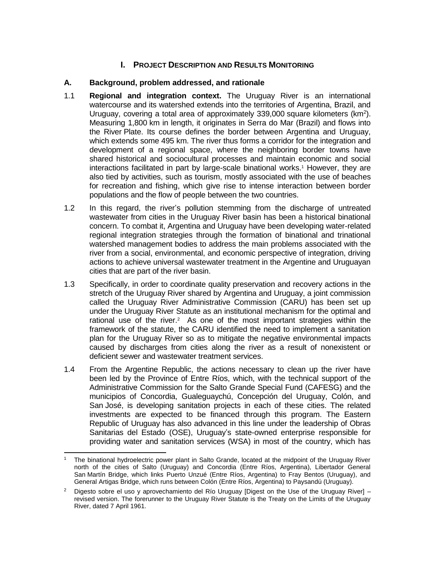## **I. PROJECT DESCRIPTION AND RESULTS MONITORING**

## **A. Background, problem addressed, and rationale**

- 1.1 **Regional and integration context.** The Uruguay River is an international watercourse and its watershed extends into the territories of Argentina, Brazil, and Uruguay, covering a total area of approximately 339,000 square kilometers (km<sup>2</sup>). Measuring 1,800 km in length, it originates in Serra do Mar (Brazil) and flows into the River Plate. Its course defines the border between Argentina and Uruguay, which extends some 495 km. The river thus forms a corridor for the integration and development of a regional space, where the neighboring border towns have shared historical and sociocultural processes and maintain economic and social interactions facilitated in part by large-scale binational works.<sup>1</sup> However, they are also tied by activities, such as tourism, mostly associated with the use of beaches for recreation and fishing, which give rise to intense interaction between border populations and the flow of people between the two countries.
- 1.2 In this regard, the river's pollution stemming from the discharge of untreated wastewater from cities in the Uruguay River basin has been a historical binational concern. To combat it, Argentina and Uruguay have been developing water-related regional integration strategies through the formation of binational and trinational watershed management bodies to address the main problems associated with the river from a social, environmental, and economic perspective of integration, driving actions to achieve universal wastewater treatment in the Argentine and Uruguayan cities that are part of the river basin.
- 1.3 Specifically, in order to coordinate quality preservation and recovery actions in the stretch of the Uruguay River shared by Argentina and Uruguay, a joint commission called the Uruguay River Administrative Commission (CARU) has been set up under the Uruguay River Statute as an institutional mechanism for the optimal and rational use of the river.<sup>2</sup> As one of the most important strategies within the framework of the statute, the CARU identified the need to implement a sanitation plan for the Uruguay River so as to mitigate the negative environmental impacts caused by discharges from cities along the river as a result of nonexistent or deficient sewer and wastewater treatment services.
- 1.4 From the Argentine Republic, the actions necessary to clean up the river have been led by the Province of Entre Ríos, which, with the technical support of the Administrative Commission for the Salto Grande Special Fund (CAFESG) and the municipios of Concordia, Gualeguaychú, Concepción del Uruguay, Colón, and San José, is developing sanitation projects in each of these cities. The related investments are expected to be financed through this program. The Eastern Republic of Uruguay has also advanced in this line under the leadership of Obras Sanitarias del Estado (OSE), Uruguay's state-owned enterprise responsible for providing water and sanitation services (WSA) in most of the country, which has

 <sup>1</sup> The binational hydroelectric power plant in Salto Grande, located at the midpoint of the Uruguay River north of the cities of Salto (Uruguay) and Concordia (Entre Ríos, Argentina), Libertador General San Martín Bridge, which links Puerto Unzué (Entre Ríos, Argentina) to Fray Bentos (Uruguay), and General Artigas Bridge, which runs between Colón (Entre Ríos, Argentina) to Paysandú (Uruguay).

[Digesto sobre el uso y aprovechamiento del Río Uruguay \[Digest on the Use of the Uruguay River\] –](http://www.caru.org.uy/web/pdfs_publicaciones/DIGESTO%20DE%20USO%20Y%20APROVECHAMIENTO%20DEL%20RIO%20URUGUAY.pdf) [revised version.](http://www.caru.org.uy/web/pdfs_publicaciones/DIGESTO%20DE%20USO%20Y%20APROVECHAMIENTO%20DEL%20RIO%20URUGUAY.pdf) The forerunner to the Uruguay River Statute is the Treaty on the Limits of the Uruguay River, dated 7 April 1961.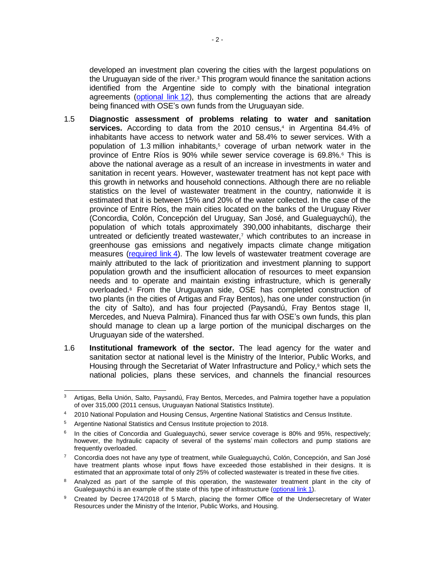developed an investment plan covering the cities with the largest populations on the Uruguayan side of the river.<sup>3</sup> This program would finance the sanitation actions identified from the Argentine side to comply with the binational integration agreements [\(optional link](http://idbdocs.iadb.org/wsdocs/getDocument.aspx?DOCNUM=EZSHARE-1117939182-35) 12), thus complementing the actions that are already being financed with OSE's own funds from the Uruguayan side.

- 1.5 **Diagnostic assessment of problems relating to water and sanitation**  services. According to data from the 2010 census,<sup>4</sup> in Argentina 84.4% of inhabitants have access to network water and 58.4% to sewer services. With a population of 1.3 million inhabitants,<sup>5</sup> coverage of urban network water in the province of Entre Ríos is 90% while sewer service coverage is 69.8%.<sup>6</sup> This is above the national average as a result of an increase in investments in water and sanitation in recent years. However, wastewater treatment has not kept pace with this growth in networks and household connections. Although there are no reliable statistics on the level of wastewater treatment in the country, nationwide it is estimated that it is between 15% and 20% of the water collected. In the case of the province of Entre Ríos, the main cities located on the banks of the Uruguay River (Concordia, Colón, Concepción del Uruguay, San José, and Gualeguaychú), the population of which totals approximately 390,000 inhabitants, discharge their untreated or deficiently treated wastewater,7 which contributes to an increase in greenhouse gas emissions and negatively impacts climate change mitigation measures [\(required link](http://idbdocs.iadb.org/wsdocs/getDocument.aspx?DOCNUM=EZSHARE-1117939182-29) 4). The low levels of wastewater treatment coverage are mainly attributed to the lack of prioritization and investment planning to support population growth and the insufficient allocation of resources to meet expansion needs and to operate and maintain existing infrastructure, which is generally overloaded.<sup>8</sup> From the Uruguayan side, OSE has completed construction of two plants (in the cities of Artigas and Fray Bentos), has one under construction (in the city of Salto), and has four projected (Paysandú, Fray Bentos stage II, Mercedes, and Nueva Palmira). Financed thus far with OSE's own funds, this plan should manage to clean up a large portion of the municipal discharges on the Uruguayan side of the watershed.
- 1.6 **Institutional framework of the sector.** The lead agency for the water and sanitation sector at national level is the Ministry of the Interior, Public Works, and Housing through the Secretariat of Water Infrastructure and Policy,<sup>9</sup> which sets the national policies, plans these services, and channels the financial resources

 $\overline{a}$  $3$  Artigas, Bella Unión, Salto, Paysandú, Fray Bentos, Mercedes, and Palmira together have a population of over 315,000 (2011 census, Uruguayan National Statistics Institute).

<sup>4 2010</sup> National Population and Housing Census, Argentine National Statistics and Census Institute.

<sup>5</sup> Argentine National Statistics and Census Institute projection to 2018.

<sup>6</sup> In the cities of Concordia and Gualeguaychú, sewer service coverage is 80% and 95%, respectively; however, the hydraulic capacity of several of the systems' main collectors and pump stations are frequently overloaded.

<sup>&</sup>lt;sup>7</sup> Concordia does not have any type of treatment, while Gualeguaychú, Colón, Concepción, and San José have treatment plants whose input flows have exceeded those established in their designs. It is estimated that an approximate total of only 25% of collected wastewater is treated in these five cities.

<sup>&</sup>lt;sup>8</sup> Analyzed as part of the sample of this operation, the wastewater treatment plant in the city of Gualeguaychú is an example of the state of this type of infrastructure [\(optional link](http://idbdocs.iadb.org/wsdocs/getDocument.aspx?DOCNUM=EZSHARE-1117939182-38) 1).

<sup>9</sup> Created by Decree 174/2018 of 5 March, placing the former Office of the Undersecretary of Water Resources under the Ministry of the Interior, Public Works, and Housing.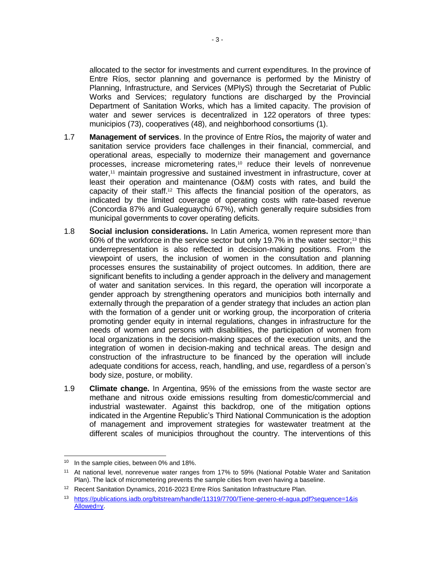allocated to the sector for investments and current expenditures. In the province of Entre Ríos, sector planning and governance is performed by the Ministry of Planning, Infrastructure, and Services (MPIyS) through the Secretariat of Public Works and Services; regulatory functions are discharged by the Provincial Department of Sanitation Works, which has a limited capacity. The provision of water and sewer services is decentralized in 122 operators of three types: municipios (73), cooperatives (48), and neighborhood consortiums (1).

- 1.7 **Management of services**. In the province of Entre Ríos**,** the majority of water and sanitation service providers face challenges in their financial, commercial, and operational areas, especially to modernize their management and governance processes, increase micrometering rates,<sup>10</sup> reduce their levels of nonrevenue water,<sup>11</sup> maintain progressive and sustained investment in infrastructure, cover at least their operation and maintenance (O&M) costs with rates, and build the capacity of their staff. <sup>12</sup> This affects the financial position of the operators, as indicated by the limited coverage of operating costs with rate-based revenue (Concordia 87% and Gualeguaychú 67%), which generally require subsidies from municipal governments to cover operating deficits.
- 1.8 **Social inclusion considerations.** In Latin America, women represent more than 60% of the workforce in the service sector but only 19.7% in the water sector;<sup>13</sup> this underrepresentation is also reflected in decision-making positions. From the viewpoint of users, the inclusion of women in the consultation and planning processes ensures the sustainability of project outcomes. In addition, there are significant benefits to including a gender approach in the delivery and management of water and sanitation services. In this regard, the operation will incorporate a gender approach by strengthening operators and municipios both internally and externally through the preparation of a gender strategy that includes an action plan with the formation of a gender unit or working group, the incorporation of criteria promoting gender equity in internal regulations, changes in infrastructure for the needs of women and persons with disabilities, the participation of women from local organizations in the decision-making spaces of the execution units, and the integration of women in decision-making and technical areas. The design and construction of the infrastructure to be financed by the operation will include adequate conditions for access, reach, handling, and use, regardless of a person's body size, posture, or mobility.
- 1.9 **Climate change.** In Argentina, 95% of the emissions from the waste sector are methane and nitrous oxide emissions resulting from domestic/commercial and industrial wastewater. Against this backdrop, one of the mitigation options indicated in the Argentine Republic's Third National Communication is the adoption of management and improvement strategies for wastewater treatment at the different scales of municipios throughout the country. The interventions of this

<sup>&</sup>lt;sup>10</sup> In the sample cities, between 0% and 18%.

<sup>11</sup> At national level, nonrevenue water ranges from 17% to 59% (National Potable Water and Sanitation Plan). The lack of micrometering prevents the sample cities from even having a baseline.

<sup>&</sup>lt;sup>12</sup> Recent Sanitation Dynamics, 2016-2023 Entre Ríos Sanitation Infrastructure Plan.

<sup>13</sup> [https://publications.iadb.org/bitstream/handle/11319/7700/Tiene-genero-el-agua.pdf?sequence=1&is](https://publications.iadb.org/bitstream/handle/11319/7700/Tiene-genero-el-agua.pdf?sequence=1&is‌Allowed=y) [Allowed=y.](https://publications.iadb.org/bitstream/handle/11319/7700/Tiene-genero-el-agua.pdf?sequence=1&is‌Allowed=y)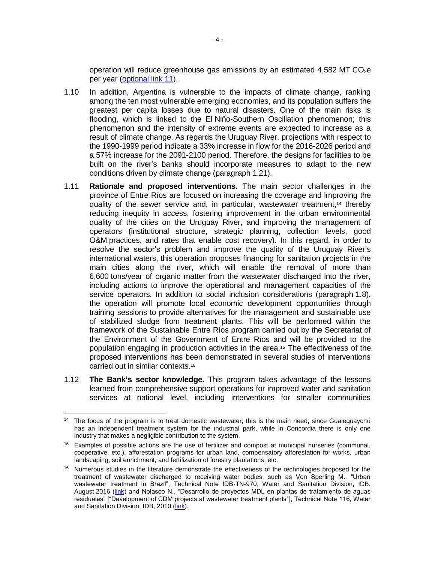operation will reduce greenhouse gas emissions by an estimated 4,582 MT  $CO<sub>2</sub>e$ per year [\(optional link](http://idbdocs.iadb.org/wsdocs/getDocument.aspx?DOCNUM=EZSHARE-1117939182-41) 11).

- 1.10 In addition, Argentina is vulnerable to the impacts of climate change, ranking among the ten most vulnerable emerging economies, and its population suffers the greatest per capita losses due to natural disasters. One of the main risks is flooding, which is linked to the El Niño-Southern Oscillation phenomenon; this phenomenon and the intensity of extreme events are expected to increase as a result of climate change. As regards the Uruguay River, projections with respect to the 1990-1999 period indicate a 33% increase in flow for the 2016-2026 period and a 57% increase for the 2091-2100 period. Therefore, the designs for facilities to be built on the river's banks should incorporate measures to adapt to the new conditions driven by climate change (paragraph 1.21).
- 1.11 **Rationale and proposed interventions.** The main sector challenges in the province of Entre Ríos are focused on increasing the coverage and improving the quality of the sewer service and, in particular, wastewater treatment,<sup>14</sup> thereby reducing inequity in access, fostering improvement in the urban environmental quality of the cities on the Uruguay River, and improving the management of operators (institutional structure, strategic planning, collection levels, good O&M practices, and rates that enable cost recovery). In this regard, in order to resolve the sector's problem and improve the quality of the Uruguay River's international waters, this operation proposes financing for sanitation projects in the main cities along the river, which will enable the removal of more than 6,600 tons/year of organic matter from the wastewater discharged into the river, including actions to improve the operational and management capacities of the service operators. In addition to social inclusion considerations (paragraph 1.8), the operation will promote local economic development opportunities through training sessions to provide alternatives for the management and sustainable use of stabilized sludge from treatment plants. This will be performed within the framework of the Sustainable Entre Ríos program carried out by the Secretariat of the Environment of the Government of Entre Ríos and will be provided to the population engaging in production activities in the area.<sup>15</sup> The effectiveness of the proposed interventions has been demonstrated in several studies of interventions carried out in similar contexts.<sup>16</sup>
- 1.12 **The Bank's sector knowledge.** This program takes advantage of the lessons learned from comprehensive support operations for improved water and sanitation services at national level, including interventions for smaller communities

 <sup>14</sup> The focus of the program is to treat domestic wastewater; this is the main need, since Gualeguaychú has an independent treatment system for the industrial park, while in Concordia there is only one industry that makes a negligible contribution to the system.

<sup>15</sup> Examples of possible actions are the use of fertilizer and compost at municipal nurseries (communal, cooperative, etc.), afforestation programs for urban land, compensatory afforestation for works, urban landscaping, soil enrichment, and fertilization of forestry plantations, etc.

<sup>&</sup>lt;sup>16</sup> Numerous studies in the literature demonstrate the effectiveness of the technologies proposed for the treatment of wastewater discharged to receiving water bodies, such as Von Sperling M., "Urban wastewater treatment in Brazil", Technical Note IDB-TN-970, Water and Sanitation Division, IDB, August 2016 [\(link\)](http://idbdocs.iadb.org/wsdocs/getDocument.aspx?DOCNUM=EZSHARE-1117939182-37) and Nolasco N., "Desarrollo de proyectos MDL en plantas de tratamiento de aguas residuales" ["Development of CDM projects at wastewater treatment plants"], Technical Note 116, Water and Sanitation Division, IDB, 2010 [\(link\)](http://idbdocs.iadb.org/wsdocs/getDocument.aspx?DOCNUM=EZSHARE-1117939182-36).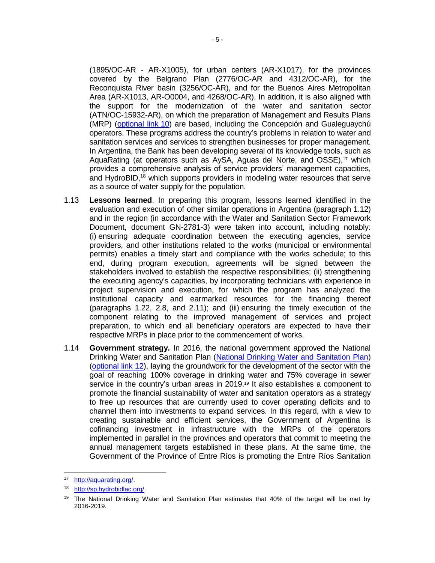(1895/OC-AR - AR-X1005), for urban centers (AR-X1017), for the provinces covered by the Belgrano Plan (2776/OC-AR and 4312/OC-AR), for the Reconquista River basin (3256/OC-AR), and for the Buenos Aires Metropolitan Area (AR-X1013, AR-O0004, and 4268/OC-AR). In addition, it is also aligned with the support for the modernization of the water and sanitation sector (ATN/OC-15932-AR), on which the preparation of Management and Results Plans (MRP) [\(optional link](http://idbdocs.iadb.org/wsdocs/getDocument.aspx?DOCNUM=EZSHARE-703622582-3) 10) are based, including the Concepción and Gualeguaychú operators. These programs address the country's problems in relation to water and sanitation services and services to strengthen businesses for proper management. In Argentina, the Bank has been developing several of its knowledge tools, such as AquaRating (at operators such as AySA, Aguas del Norte, and OSSE),<sup>17</sup> which provides a comprehensive analysis of service providers' management capacities, and HydroBID,<sup>18</sup> which supports providers in modeling water resources that serve as a source of water supply for the population.

- 1.13 **Lessons learned**. In preparing this program, lessons learned identified in the evaluation and execution of other similar operations in Argentina (paragraph 1.12) and in the region (in accordance with the Water and Sanitation Sector Framework Document, document GN-2781-3) were taken into account, including notably: (i) ensuring adequate coordination between the executing agencies, service providers, and other institutions related to the works (municipal or environmental permits) enables a timely start and compliance with the works schedule; to this end, during program execution, agreements will be signed between the stakeholders involved to establish the respective responsibilities; (ii) strengthening the executing agency's capacities, by incorporating technicians with experience in project supervision and execution, for which the program has analyzed the institutional capacity and earmarked resources for the financing thereof (paragraphs 1.22, 2.8, and 2.11); and (iii) ensuring the timely execution of the component relating to the improved management of services and project preparation, to which end all beneficiary operators are expected to have their respective MRPs in place prior to the commencement of works.
- 1.14 **Government strategy.** In 2016, the national government approved the National Drinking Water and Sanitation Plan [\(National Drinking Water and Sanitation Plan\)](http://idbdocs.iadb.org/wsdocs/getDocument.aspx?DOCNUM=EZSHARE-703622582-4) [\(optional link 12\)](http://idbdocs.iadb.org/wsdocs/getDocument.aspx?DOCNUM=EZSHARE-1117939182-35), laying the groundwork for the development of the sector with the goal of reaching 100% coverage in drinking water and 75% coverage in sewer service in the country's urban areas in 2019.<sup>19</sup> It also establishes a component to promote the financial sustainability of water and sanitation operators as a strategy to free up resources that are currently used to cover operating deficits and to channel them into investments to expand services. In this regard, with a view to creating sustainable and efficient services, the Government of Argentina is cofinancing investment in infrastructure with the MRPs of the operators implemented in parallel in the provinces and operators that commit to meeting the annual management targets established in these plans. At the same time, the Government of the Province of Entre Ríos is promoting the Entre Ríos Sanitation

 $\overline{a}$ <sup>17</sup> [http://aquarating.org/.](http://aquarating.org/)

<sup>18</sup> [http://sp.hydrobidlac.org/.](http://sp.hydrobidlac.org/)

<sup>&</sup>lt;sup>19</sup> The National Drinking Water and Sanitation Plan estimates that 40% of the target will be met by 2016-2019.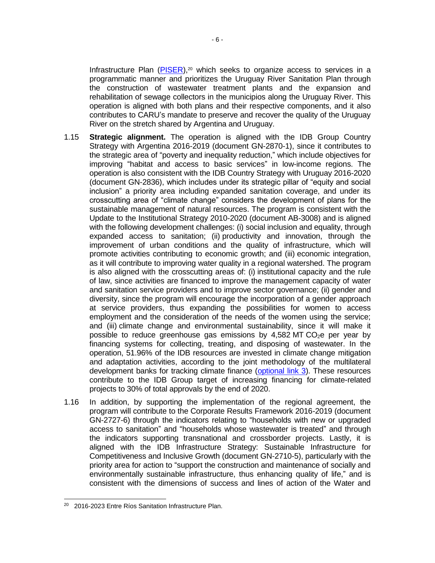Infrastructure Plan  $(PISER)$ ,<sup>20</sup> which seeks to organize access to services in a programmatic manner and prioritizes the Uruguay River Sanitation Plan through the construction of wastewater treatment plants and the expansion and rehabilitation of sewage collectors in the municipios along the Uruguay River. This operation is aligned with both plans and their respective components, and it also contributes to CARU's mandate to preserve and recover the quality of the Uruguay River on the stretch shared by Argentina and Uruguay.

- 1.15 **Strategic alignment.** The operation is aligned with the IDB Group Country Strategy with Argentina 2016-2019 (document GN-2870-1), since it contributes to the strategic area of "poverty and inequality reduction," which include objectives for improving "habitat and access to basic services" in low-income regions. The operation is also consistent with the IDB Country Strategy with Uruguay 2016-2020 (document GN-2836), which includes under its strategic pillar of "equity and social inclusion" a priority area including expanded sanitation coverage, and under its crosscutting area of "climate change" considers the development of plans for the sustainable management of natural resources. The program is consistent with the Update to the Institutional Strategy 2010-2020 (document AB-3008) and is aligned with the following development challenges: (i) social inclusion and equality, through expanded access to sanitation; (ii) productivity and innovation, through the improvement of urban conditions and the quality of infrastructure, which will promote activities contributing to economic growth; and (iii) economic integration, as it will contribute to improving water quality in a regional watershed. The program is also aligned with the crosscutting areas of: (i) institutional capacity and the rule of law, since activities are financed to improve the management capacity of water and sanitation service providers and to improve sector governance; (ii) gender and diversity, since the program will encourage the incorporation of a gender approach at service providers, thus expanding the possibilities for women to access employment and the consideration of the needs of the women using the service; and (iii) climate change and environmental sustainability, since it will make it possible to reduce greenhouse gas emissions by  $4,582$  MT CO<sub>2</sub>e per year by financing systems for collecting, treating, and disposing of wastewater. In the operation, 51.96% of the IDB resources are invested in climate change mitigation and adaptation activities, according to the joint methodology of the multilateral development banks for tracking climate finance [\(optional link 3\)](http://idbdocs.iadb.org/wsdocs/getDocument.aspx?DOCNUM=EZSHARE-1117939182-56). These resources contribute to the IDB Group target of increasing financing for climate-related projects to 30% of total approvals by the end of 2020.
- 1.16 In addition, by supporting the implementation of the regional agreement, the program will contribute to the Corporate Results Framework 2016-2019 (document GN-2727-6) through the indicators relating to "households with new or upgraded access to sanitation" and "households whose wastewater is treated" and through the indicators supporting transnational and crossborder projects. Lastly, it is aligned with the IDB Infrastructure Strategy: Sustainable Infrastructure for Competitiveness and Inclusive Growth (document GN-2710-5), particularly with the priority area for action to "support the construction and maintenance of socially and environmentally sustainable infrastructure, thus enhancing quality of life," and is consistent with the dimensions of success and lines of action of the Water and

<sup>&</sup>lt;sup>20</sup> 2016-2023 Entre Ríos Sanitation Infrastructure Plan.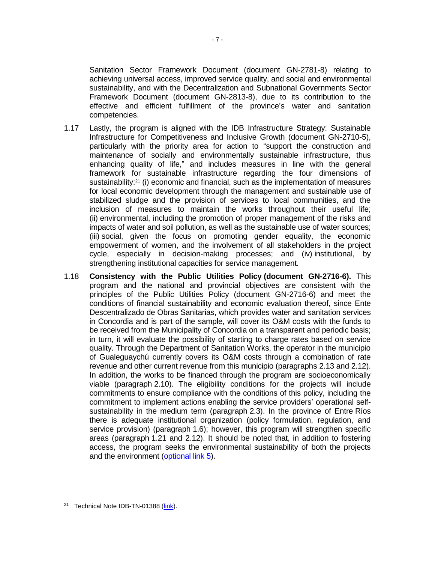Sanitation Sector Framework Document (document GN-2781-8) relating to achieving universal access, improved service quality, and social and environmental sustainability, and with the Decentralization and Subnational Governments Sector Framework Document (document GN-2813-8), due to its contribution to the effective and efficient fulfillment of the province's water and sanitation competencies.

- 1.17 Lastly, the program is aligned with the IDB Infrastructure Strategy: Sustainable Infrastructure for Competitiveness and Inclusive Growth (document GN-2710-5), particularly with the priority area for action to "support the construction and maintenance of socially and environmentally sustainable infrastructure, thus enhancing quality of life," and includes measures in line with the general framework for sustainable infrastructure regarding the four dimensions of sustainability:<sup>21</sup> (i) economic and financial, such as the implementation of measures for local economic development through the management and sustainable use of stabilized sludge and the provision of services to local communities, and the inclusion of measures to maintain the works throughout their useful life; (ii) environmental, including the promotion of proper management of the risks and impacts of water and soil pollution, as well as the sustainable use of water sources; (iii) social, given the focus on promoting gender equality, the economic empowerment of women, and the involvement of all stakeholders in the project cycle, especially in decision-making processes; and (iv) institutional, by strengthening institutional capacities for service management.
- 1.18 **Consistency with the Public Utilities Policy (document GN-2716-6).** This program and the national and provincial objectives are consistent with the principles of the Public Utilities Policy (document GN-2716-6) and meet the conditions of financial sustainability and economic evaluation thereof, since Ente Descentralizado de Obras Sanitarias, which provides water and sanitation services in Concordia and is part of the sample, will cover its O&M costs with the funds to be received from the Municipality of Concordia on a transparent and periodic basis; in turn, it will evaluate the possibility of starting to charge rates based on service quality. Through the Department of Sanitation Works, the operator in the municipio of Gualeguaychú currently covers its O&M costs through a combination of rate revenue and other current revenue from this municipio (paragraphs 2.13 and 2.12). In addition, the works to be financed through the program are socioeconomically viable (paragraph 2.10). The eligibility conditions for the projects will include commitments to ensure compliance with the conditions of this policy, including the commitment to implement actions enabling the service providers' operational selfsustainability in the medium term (paragraph 2.3). In the province of Entre Ríos there is adequate institutional organization (policy formulation, regulation, and service provision) (paragraph 1.6); however, this program will strengthen specific areas (paragraph 1.21 and 2.12). It should be noted that, in addition to fostering access, the program seeks the environmental sustainability of both the projects and the environment [\(optional link](http://idbdocs.iadb.org/wsdocs/getDocument.aspx?DOCNUM=EZSHARE-1117939182-19) 5).

<sup>&</sup>lt;sup>21</sup> Technical Note IDB-TN-01388 [\(link\)](http://idbdocs.iadb.org/wsdocs/getDocument.aspx?DOCNUM=EZSHARE-1117939182-50).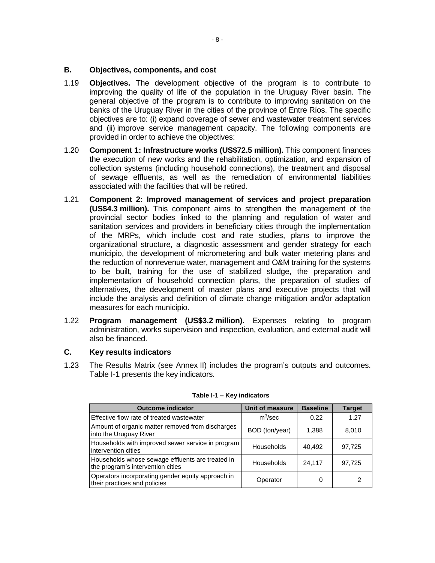### **B. Objectives, components, and cost**

- 1.19 **Objectives.** The development objective of the program is to contribute to improving the quality of life of the population in the Uruguay River basin. The general objective of the program is to contribute to improving sanitation on the banks of the Uruguay River in the cities of the province of Entre Ríos. The specific objectives are to: (i) expand coverage of sewer and wastewater treatment services and (ii) improve service management capacity. The following components are provided in order to achieve the objectives:
- 1.20 **Component 1: Infrastructure works (US\$72.5 million).** This component finances the execution of new works and the rehabilitation, optimization, and expansion of collection systems (including household connections), the treatment and disposal of sewage effluents, as well as the remediation of environmental liabilities associated with the facilities that will be retired.
- 1.21 **Component 2: Improved management of services and project preparation (US\$4.3 million).** This component aims to strengthen the management of the provincial sector bodies linked to the planning and regulation of water and sanitation services and providers in beneficiary cities through the implementation of the MRPs, which include cost and rate studies, plans to improve the organizational structure, a diagnostic assessment and gender strategy for each municipio, the development of micrometering and bulk water metering plans and the reduction of nonrevenue water, management and O&M training for the systems to be built, training for the use of stabilized sludge, the preparation and implementation of household connection plans, the preparation of studies of alternatives, the development of master plans and executive projects that will include the analysis and definition of climate change mitigation and/or adaptation measures for each municipio.
- 1.22 **Program management (US\$3.2 million).** Expenses relating to program administration, works supervision and inspection, evaluation, and external audit will also be financed.

## **C. Key results indicators**

1.23 The Results Matrix (see Annex II) includes the program's outputs and outcomes. Table I-1 presents the key indicators.

| <b>Outcome indicator</b>                                                              | Unit of measure   | <b>Baseline</b> | <b>Target</b> |
|---------------------------------------------------------------------------------------|-------------------|-----------------|---------------|
| Effective flow rate of treated wastewater                                             | $m^3$ /sec        | 0.22            | 1.27          |
| Amount of organic matter removed from discharges<br>into the Uruguay River            | BOD (ton/year)    | 1,388           | 8,010         |
| Households with improved sewer service in program<br>intervention cities              | Households        | 40,492          | 97,725        |
| Households whose sewage effluents are treated in<br>the program's intervention cities | <b>Households</b> | 24,117          | 97,725        |
| Operators incorporating gender equity approach in<br>their practices and policies     | Operator          | O               |               |

#### **Table I-1 – Key indicators**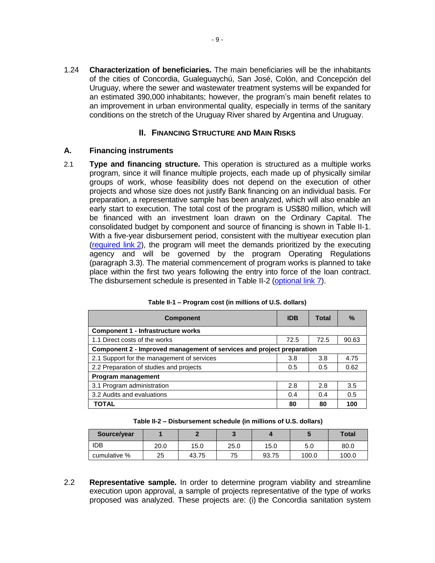1.24 **Characterization of beneficiaries.** The main beneficiaries will be the inhabitants of the cities of Concordia, Gualeguaychú, San José, Colón, and Concepción del Uruguay, where the sewer and wastewater treatment systems will be expanded for an estimated 390,000 inhabitants; however, the program's main benefit relates to an improvement in urban environmental quality, especially in terms of the sanitary conditions on the stretch of the Uruguay River shared by Argentina and Uruguay.

### **II. FINANCING STRUCTURE AND MAIN RISKS**

### **A. Financing instruments**

2.1 **Type and financing structure.** This operation is structured as a multiple works program, since it will finance multiple projects, each made up of physically similar groups of work, whose feasibility does not depend on the execution of other projects and whose size does not justify Bank financing on an individual basis. For preparation, a representative sample has been analyzed, which will also enable an early start to execution. The total cost of the program is US\$80 million, which will be financed with an investment loan drawn on the Ordinary Capital. The consolidated budget by component and source of financing is shown in Table II-1. With a five-year disbursement period, consistent with the multiyear execution plan [\(required link](http://idbdocs.iadb.org/wsdocs/getDocument.aspx?DOCNUM=EZSHARE-1117939182-48) 2), the program will meet the demands prioritized by the executing agency and will be governed by the program Operating Regulations (paragraph 3.3). The material commencement of program works is planned to take place within the first two years following the entry into force of the loan contract. The disbursement schedule is presented in Table II-2 [\(optional link](http://idbdocs.iadb.org/wsdocs/getDocument.aspx?DOCNUM=EZSHARE-1117939182-30) 7).

| <b>Component</b>                                                      | <b>IDB</b> | Total | $\%$  |  |  |  |  |  |  |  |
|-----------------------------------------------------------------------|------------|-------|-------|--|--|--|--|--|--|--|
| Component 1 - Infrastructure works                                    |            |       |       |  |  |  |  |  |  |  |
| 1.1 Direct costs of the works                                         | 72.5       | 72.5  | 90.63 |  |  |  |  |  |  |  |
| Component 2 - Improved management of services and project preparation |            |       |       |  |  |  |  |  |  |  |
| 2.1 Support for the management of services                            | 3.8        | 3.8   | 4.75  |  |  |  |  |  |  |  |
| 2.2 Preparation of studies and projects                               | 0.5        | 0.5   | 0.62  |  |  |  |  |  |  |  |
| Program management                                                    |            |       |       |  |  |  |  |  |  |  |
| 3.1 Program administration                                            | 2.8        | 2.8   | 3.5   |  |  |  |  |  |  |  |
| 3.2 Audits and evaluations                                            | 0.4        | 0.4   | 0.5   |  |  |  |  |  |  |  |
| <b>TOTAL</b>                                                          | 80         | 80    | 100   |  |  |  |  |  |  |  |

**Table II-2 – Disbursement schedule (in millions of U.S. dollars)**

| Source/year  |      |       |      |       |       | <b>Total</b> |
|--------------|------|-------|------|-------|-------|--------------|
| IDB          | 20.0 | 15.0  | 25.0 | 15.0  | 5.0   | 80.0         |
| cumulative % | 25   | 43.75 | 75   | 93.75 | 100.0 | 100.0        |

2.2 **Representative sample.** In order to determine program viability and streamline execution upon approval, a sample of projects representative of the type of works proposed was analyzed. These projects are: (i) the Concordia sanitation system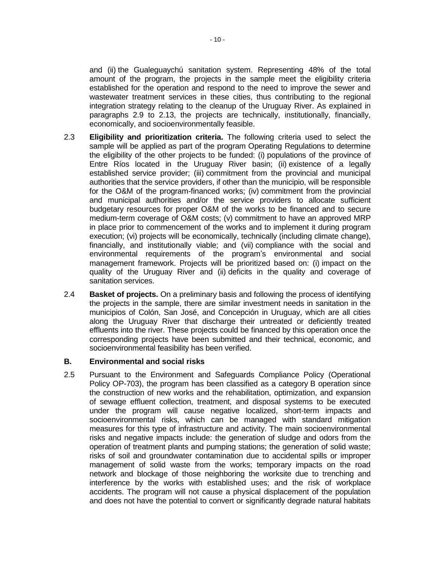and (ii) the Gualeguaychú sanitation system. Representing 48% of the total amount of the program, the projects in the sample meet the eligibility criteria established for the operation and respond to the need to improve the sewer and wastewater treatment services in these cities, thus contributing to the regional integration strategy relating to the cleanup of the Uruguay River. As explained in paragraphs 2.9 to 2.13, the projects are technically, institutionally, financially, economically, and socioenvironmentally feasible.

- 2.3 **Eligibility and prioritization criteria.** The following criteria used to select the sample will be applied as part of the program Operating Regulations to determine the eligibility of the other projects to be funded: (i) populations of the province of Entre Ríos located in the Uruguay River basin; (ii) existence of a legally established service provider; (iii) commitment from the provincial and municipal authorities that the service providers, if other than the municipio, will be responsible for the O&M of the program-financed works; (iv) commitment from the provincial and municipal authorities and/or the service providers to allocate sufficient budgetary resources for proper O&M of the works to be financed and to secure medium-term coverage of O&M costs; (v) commitment to have an approved MRP in place prior to commencement of the works and to implement it during program execution; (vi) projects will be economically, technically (including climate change), financially, and institutionally viable; and (vii) compliance with the social and environmental requirements of the program's environmental and social management framework. Projects will be prioritized based on: (i) impact on the quality of the Uruguay River and (ii) deficits in the quality and coverage of sanitation services.
- 2.4 **Basket of projects.** On a preliminary basis and following the process of identifying the projects in the sample, there are similar investment needs in sanitation in the municipios of Colón, San José, and Concepción in Uruguay, which are all cities along the Uruguay River that discharge their untreated or deficiently treated effluents into the river. These projects could be financed by this operation once the corresponding projects have been submitted and their technical, economic, and socioenvironmental feasibility has been verified.

#### **B. Environmental and social risks**

2.5 Pursuant to the Environment and Safeguards Compliance Policy (Operational Policy OP-703), the program has been classified as a category B operation since the construction of new works and the rehabilitation, optimization, and expansion of sewage effluent collection, treatment, and disposal systems to be executed under the program will cause negative localized, short-term impacts and socioenvironmental risks, which can be managed with standard mitigation measures for this type of infrastructure and activity. The main socioenvironmental risks and negative impacts include: the generation of sludge and odors from the operation of treatment plants and pumping stations; the generation of solid waste; risks of soil and groundwater contamination due to accidental spills or improper management of solid waste from the works; temporary impacts on the road network and blockage of those neighboring the worksite due to trenching and interference by the works with established uses; and the risk of workplace accidents. The program will not cause a physical displacement of the population and does not have the potential to convert or significantly degrade natural habitats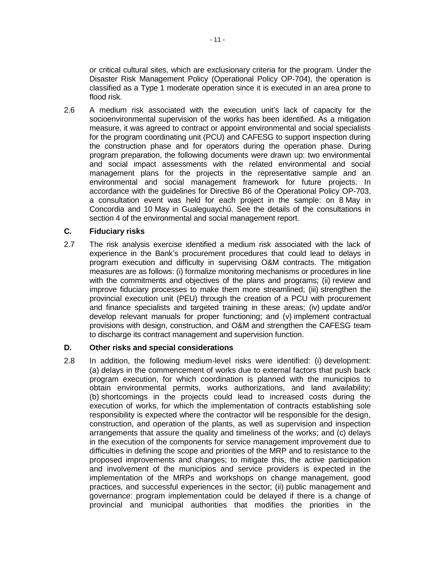or critical cultural sites, which are exclusionary criteria for the program. Under the Disaster Risk Management Policy (Operational Policy OP-704), the operation is classified as a Type 1 moderate operation since it is executed in an area prone to flood risk.

2.6 A medium risk associated with the execution unit's lack of capacity for the socioenvironmental supervision of the works has been identified. As a mitigation measure, it was agreed to contract or appoint environmental and social specialists for the program coordinating unit (PCU) and CAFESG to support inspection during the construction phase and for operators during the operation phase. During program preparation, the following documents were drawn up: two environmental and social impact assessments with the related environmental and social management plans for the projects in the representative sample and an environmental and social management framework for future projects. In accordance with the guidelines for Directive B6 of the Operational Policy OP-703, a consultation event was held for each project in the sample: on 8 May in Concordia and 10 May in Gualeguaychú. See the details of the consultations in section 4 of the environmental and social management report.

#### **C. Fiduciary risks**

2.7 The risk analysis exercise identified a medium risk associated with the lack of experience in the Bank's procurement procedures that could lead to delays in program execution and difficulty in supervising O&M contracts. The mitigation measures are as follows: (i) formalize monitoring mechanisms or procedures in line with the commitments and objectives of the plans and programs; (ii) review and improve fiduciary processes to make them more streamlined; (iii) strengthen the provincial execution unit (PEU) through the creation of a PCU with procurement and finance specialists and targeted training in these areas; (iv) update and/or develop relevant manuals for proper functioning; and (v) implement contractual provisions with design, construction, and O&M and strengthen the CAFESG team to discharge its contract management and supervision function.

#### **D. Other risks and special considerations**

2.8 In addition, the following medium-level risks were identified: (i) development: (a) delays in the commencement of works due to external factors that push back program execution, for which coordination is planned with the municipios to obtain environmental permits, works authorizations, and land availability; (b) shortcomings in the projects could lead to increased costs during the execution of works, for which the implementation of contracts establishing sole responsibility is expected where the contractor will be responsible for the design, construction, and operation of the plants, as well as supervision and inspection arrangements that assure the quality and timeliness of the works; and (c) delays in the execution of the components for service management improvement due to difficulties in defining the scope and priorities of the MRP and to resistance to the proposed improvements and changes; to mitigate this, the active participation and involvement of the municipios and service providers is expected in the implementation of the MRPs and workshops on change management, good practices, and successful experiences in the sector; (ii) public management and governance: program implementation could be delayed if there is a change of provincial and municipal authorities that modifies the priorities in the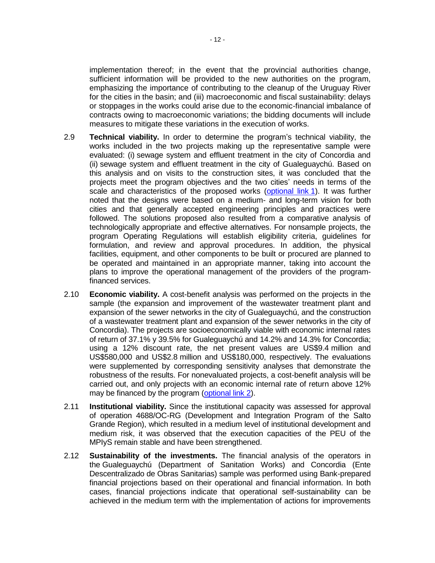implementation thereof; in the event that the provincial authorities change, sufficient information will be provided to the new authorities on the program, emphasizing the importance of contributing to the cleanup of the Uruguay River for the cities in the basin; and (iii) macroeconomic and fiscal sustainability: delays or stoppages in the works could arise due to the economic-financial imbalance of contracts owing to macroeconomic variations; the bidding documents will include measures to mitigate these variations in the execution of works.

- 2.9 **Technical viability.** In order to determine the program's technical viability, the works included in the two projects making up the representative sample were evaluated: (i) sewage system and effluent treatment in the city of Concordia and (ii) sewage system and effluent treatment in the city of Gualeguaychú. Based on this analysis and on visits to the construction sites, it was concluded that the projects meet the program objectives and the two cities' needs in terms of the scale and characteristics of the proposed works [\(optional link](http://idbdocs.iadb.org/wsdocs/getDocument.aspx?DOCNUM=EZSHARE-1117939182-38) 1). It was further noted that the designs were based on a medium- and long-term vision for both cities and that generally accepted engineering principles and practices were followed. The solutions proposed also resulted from a comparative analysis of technologically appropriate and effective alternatives. For nonsample projects, the program Operating Regulations will establish eligibility criteria, guidelines for formulation, and review and approval procedures. In addition, the physical facilities, equipment, and other components to be built or procured are planned to be operated and maintained in an appropriate manner, taking into account the plans to improve the operational management of the providers of the programfinanced services.
- 2.10 **Economic viability.** A cost-benefit analysis was performed on the projects in the sample (the expansion and improvement of the wastewater treatment plant and expansion of the sewer networks in the city of Gualeguaychú, and the construction of a wastewater treatment plant and expansion of the sewer networks in the city of Concordia). The projects are socioeconomically viable with economic internal rates of return of 37.1% y 39.5% for Gualeguaychú and 14.2% and 14.3% for Concordia; using a 12% discount rate, the net present values are US\$9.4 million and US\$580,000 and US\$2.8 million and US\$180,000, respectively. The evaluations were supplemented by corresponding sensitivity analyses that demonstrate the robustness of the results. For nonevaluated projects, a cost-benefit analysis will be carried out, and only projects with an economic internal rate of return above 12% may be financed by the program [\(optional link 2\)](http://idbdocs.iadb.org/wsdocs/getDocument.aspx?DOCNUM=EZSHARE-1117939182-17).
- 2.11 **Institutional viability.** Since the institutional capacity was assessed for approval of operation 4688/OC-RG (Development and Integration Program of the Salto Grande Region), which resulted in a medium level of institutional development and medium risk, it was observed that the execution capacities of the PEU of the MPIyS remain stable and have been strengthened.
- 2.12 **Sustainability of the investments.** The financial analysis of the operators in the Gualeguaychú (Department of Sanitation Works) and Concordia (Ente Descentralizado de Obras Sanitarias) sample was performed using Bank-prepared financial projections based on their operational and financial information. In both cases, financial projections indicate that operational self-sustainability can be achieved in the medium term with the implementation of actions for improvements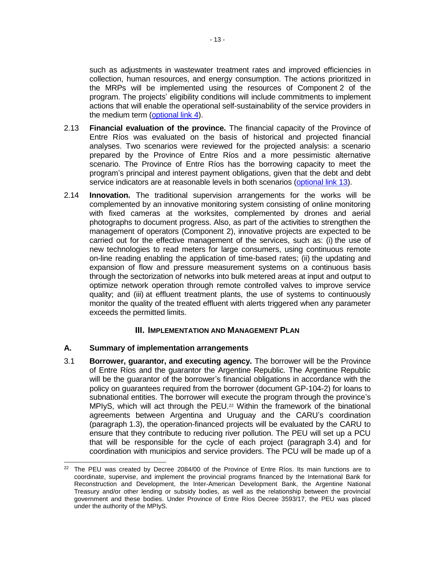such as adjustments in wastewater treatment rates and improved efficiencies in collection, human resources, and energy consumption. The actions prioritized in the MRPs will be implemented using the resources of Component 2 of the program. The projects' eligibility conditions will include commitments to implement actions that will enable the operational self-sustainability of the service providers in the medium term [\(optional link](http://idbdocs.iadb.org/wsdocs/getDocument.aspx?DOCNUM=EZSHARE-1117939182-18) 4).

- 2.13 **Financial evaluation of the province.** The financial capacity of the Province of Entre Ríos was evaluated on the basis of historical and projected financial analyses. Two scenarios were reviewed for the projected analysis: a scenario prepared by the Province of Entre Ríos and a more pessimistic alternative scenario. The Province of Entre Ríos has the borrowing capacity to meet the program's principal and interest payment obligations, given that the debt and debt service indicators are at reasonable levels in both scenarios [\(optional link](http://idbdocs.iadb.org/wsdocs/getDocument.aspx?DOCNUM=EZSHARE-1117939182-45) 13).
- 2.14 **Innovation.** The traditional supervision arrangements for the works will be complemented by an innovative monitoring system consisting of online monitoring with fixed cameras at the worksites, complemented by drones and aerial photographs to document progress. Also, as part of the activities to strengthen the management of operators (Component 2), innovative projects are expected to be carried out for the effective management of the services, such as: (i) the use of new technologies to read meters for large consumers, using continuous remote on-line reading enabling the application of time-based rates; (ii) the updating and expansion of flow and pressure measurement systems on a continuous basis through the sectorization of networks into bulk metered areas at input and output to optimize network operation through remote controlled valves to improve service quality; and (iii) at effluent treatment plants, the use of systems to continuously monitor the quality of the treated effluent with alerts triggered when any parameter exceeds the permitted limits.

### **III. IMPLEMENTATION AND MANAGEMENT PLAN**

#### **A. Summary of implementation arrangements**

3.1 **Borrower, guarantor, and executing agency.** The borrower will be the Province of Entre Ríos and the guarantor the Argentine Republic. The Argentine Republic will be the guarantor of the borrower's financial obligations in accordance with the policy on guarantees required from the borrower (document GP-104-2) for loans to subnational entities. The borrower will execute the program through the province's MPIyS, which will act through the PEU.<sup>22</sup> Within the framework of the binational agreements between Argentina and Uruguay and the CARU's coordination (paragraph 1.3), the operation-financed projects will be evaluated by the CARU to ensure that they contribute to reducing river pollution. The PEU will set up a PCU that will be responsible for the cycle of each project (paragraph 3.4) and for coordination with municipios and service providers. The PCU will be made up of a

 $22$  The PEU was created by Decree 2084/00 of the Province of Entre Ríos. Its main functions are to coordinate, supervise, and implement the provincial programs financed by the International Bank for Reconstruction and Development, the Inter-American Development Bank, the Argentine National Treasury and/or other lending or subsidy bodies, as well as the relationship between the provincial government and these bodies. Under Province of Entre Ríos Decree 3593/17, the PEU was placed under the authority of the MPIyS.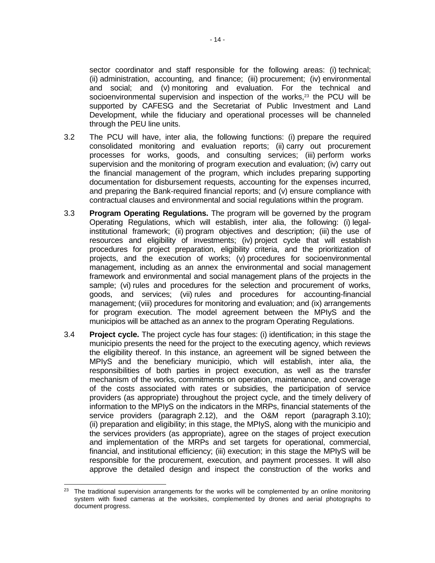sector coordinator and staff responsible for the following areas: (i) technical; (ii) administration, accounting, and finance; (iii) procurement; (iv) environmental and social; and (v) monitoring and evaluation. For the technical and socioenvironmental supervision and inspection of the works,<sup>23</sup> the PCU will be supported by CAFESG and the Secretariat of Public Investment and Land Development, while the fiduciary and operational processes will be channeled through the PEU line units.

- 3.2 The PCU will have, inter alia, the following functions: (i) prepare the required consolidated monitoring and evaluation reports; (ii) carry out procurement processes for works, goods, and consulting services; (iii) perform works supervision and the monitoring of program execution and evaluation; (iv) carry out the financial management of the program, which includes preparing supporting documentation for disbursement requests, accounting for the expenses incurred, and preparing the Bank-required financial reports; and (v) ensure compliance with contractual clauses and environmental and social regulations within the program.
- 3.3 **Program Operating Regulations.** The program will be governed by the program Operating Regulations, which will establish, inter alia, the following: (i) legalinstitutional framework; (ii) program objectives and description; (iii) the use of resources and eligibility of investments; (iv) project cycle that will establish procedures for project preparation, eligibility criteria, and the prioritization of projects, and the execution of works; (v) procedures for socioenvironmental management, including as an annex the environmental and social management framework and environmental and social management plans of the projects in the sample; (vi) rules and procedures for the selection and procurement of works, goods, and services; (vii) rules and procedures for accounting-financial management; (viii) procedures for monitoring and evaluation; and (ix) arrangements for program execution. The model agreement between the MPIyS and the municipios will be attached as an annex to the program Operating Regulations.
- 3.4 **Project cycle.** The project cycle has four stages: (i) identification; in this stage the municipio presents the need for the project to the executing agency, which reviews the eligibility thereof. In this instance, an agreement will be signed between the MPIyS and the beneficiary municipio, which will establish, inter alia, the responsibilities of both parties in project execution, as well as the transfer mechanism of the works, commitments on operation, maintenance, and coverage of the costs associated with rates or subsidies, the participation of service providers (as appropriate) throughout the project cycle, and the timely delivery of information to the MPIyS on the indicators in the MRPs, financial statements of the service providers (paragraph 2.12), and the O&M report (paragraph 3.10); (ii) preparation and eligibility; in this stage, the MPIyS, along with the municipio and the services providers (as appropriate), agree on the stages of project execution and implementation of the MRPs and set targets for operational, commercial, financial, and institutional efficiency; (iii) execution; in this stage the MPIyS will be responsible for the procurement, execution, and payment processes. It will also approve the detailed design and inspect the construction of the works and

 <sup>23</sup> The traditional supervision arrangements for the works will be complemented by an online monitoring system with fixed cameras at the worksites, complemented by drones and aerial photographs to document progress.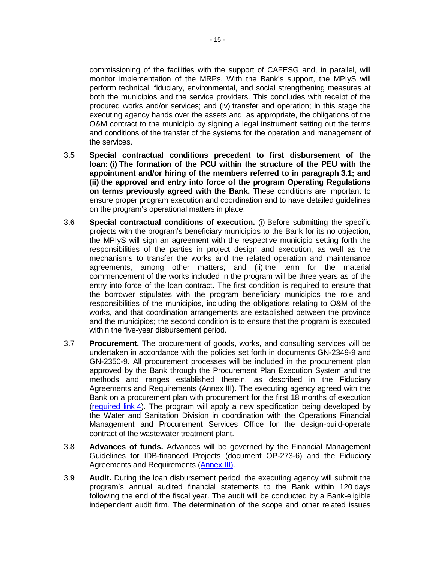commissioning of the facilities with the support of CAFESG and, in parallel, will monitor implementation of the MRPs. With the Bank's support, the MPIyS will perform technical, fiduciary, environmental, and social strengthening measures at both the municipios and the service providers. This concludes with receipt of the procured works and/or services; and (iv) transfer and operation; in this stage the executing agency hands over the assets and, as appropriate, the obligations of the O&M contract to the municipio by signing a legal instrument setting out the terms and conditions of the transfer of the systems for the operation and management of the services.

- 3.5 **Special contractual conditions precedent to first disbursement of the loan: (i) The formation of the PCU within the structure of the PEU with the appointment and/or hiring of the members referred to in paragraph 3.1; and (ii) the approval and entry into force of the program Operating Regulations on terms previously agreed with the Bank.** These conditions are important to ensure proper program execution and coordination and to have detailed guidelines on the program's operational matters in place.
- 3.6 **Special contractual conditions of execution.** (i) Before submitting the specific projects with the program's beneficiary municipios to the Bank for its no objection, the MPIyS will sign an agreement with the respective municipio setting forth the responsibilities of the parties in project design and execution, as well as the mechanisms to transfer the works and the related operation and maintenance agreements, among other matters; and (ii) the term for the material commencement of the works included in the program will be three years as of the entry into force of the loan contract. The first condition is required to ensure that the borrower stipulates with the program beneficiary municipios the role and responsibilities of the municipios, including the obligations relating to O&M of the works, and that coordination arrangements are established between the province and the municipios; the second condition is to ensure that the program is executed within the five-year disbursement period.
- 3.7 **Procurement.** The procurement of goods, works, and consulting services will be undertaken in accordance with the policies set forth in documents GN-2349-9 and GN-2350-9. All procurement processes will be included in the procurement plan approved by the Bank through the Procurement Plan Execution System and the methods and ranges established therein, as described in the Fiduciary Agreements and Requirements (Annex III). The executing agency agreed with the Bank on a procurement plan with procurement for the first 18 months of execution [\(required link](http://idbdocs.iadb.org/wsdocs/getDocument.aspx?DOCNUM=EZSHARE-1117939182-29) 4). The program will apply a new specification being developed by the Water and Sanitation Division in coordination with the Operations Financial Management and Procurement Services Office for the design-build-operate contract of the wastewater treatment plant.
- 3.8 **Advances of funds.** Advances will be governed by the Financial Management Guidelines for IDB-financed Projects (document OP-273-6) and the Fiduciary Agreements and Requirements [\(Annex](http://idbdocs.iadb.org/wsdocs/getdocument.aspx?ID=EZSHARE-908481879-32) III).
- 3.9 **Audit.** During the loan disbursement period, the executing agency will submit the program's annual audited financial statements to the Bank within 120 days following the end of the fiscal year. The audit will be conducted by a Bank-eligible independent audit firm. The determination of the scope and other related issues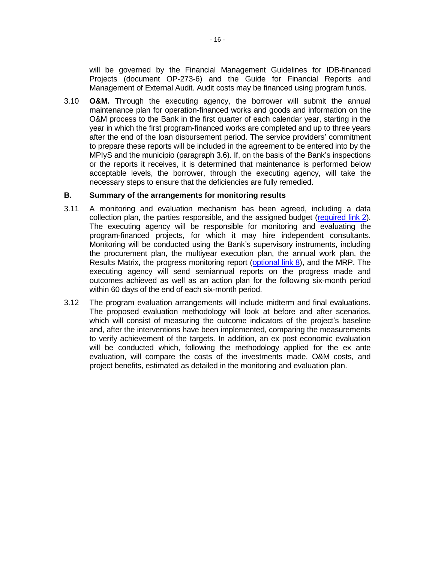will be governed by the Financial Management Guidelines for IDB-financed Projects (document OP-273-6) and the Guide for Financial Reports and Management of External Audit. Audit costs may be financed using program funds.

3.10 **O&M.** Through the executing agency, the borrower will submit the annual maintenance plan for operation-financed works and goods and information on the O&M process to the Bank in the first quarter of each calendar year, starting in the year in which the first program-financed works are completed and up to three years after the end of the loan disbursement period. The service providers' commitment to prepare these reports will be included in the agreement to be entered into by the MPIyS and the municipio (paragraph 3.6). If, on the basis of the Bank's inspections or the reports it receives, it is determined that maintenance is performed below acceptable levels, the borrower, through the executing agency, will take the necessary steps to ensure that the deficiencies are fully remedied.

#### **B. Summary of the arrangements for monitoring results**

- 3.11 A monitoring and evaluation mechanism has been agreed, including a data collection plan, the parties responsible, and the assigned budget [\(required link](http://idbdocs.iadb.org/wsdocs/getDocument.aspx?DOCNUM=EZSHARE-1117939182-48) 2). The executing agency will be responsible for monitoring and evaluating the program-financed projects, for which it may hire independent consultants. Monitoring will be conducted using the Bank's supervisory instruments, including the procurement plan, the multiyear execution plan, the annual work plan, the Results Matrix, the progress monitoring report [\(optional link](http://idbdocs.iadb.org/wsdocs/getDocument.aspx?DOCNUM=EZSHARE-1117939182-31) 8), and the MRP. The executing agency will send semiannual reports on the progress made and outcomes achieved as well as an action plan for the following six-month period within 60 days of the end of each six-month period.
- 3.12 The program evaluation arrangements will include midterm and final evaluations. The proposed evaluation methodology will look at before and after scenarios, which will consist of measuring the outcome indicators of the project's baseline and, after the interventions have been implemented, comparing the measurements to verify achievement of the targets. In addition, an ex post economic evaluation will be conducted which, following the methodology applied for the ex ante evaluation, will compare the costs of the investments made, O&M costs, and project benefits, estimated as detailed in the monitoring and evaluation plan.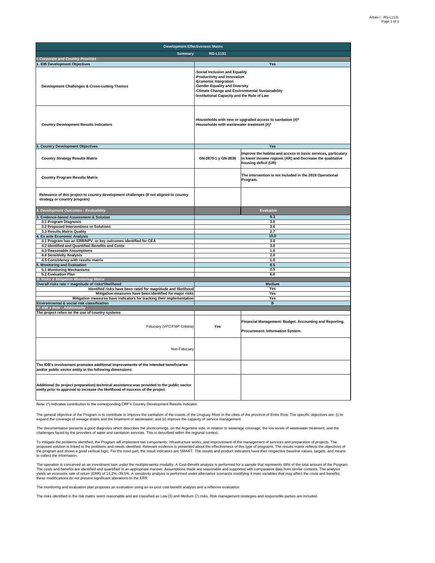The general objective of the Program is to contribute to improve the sanitation of the coasts of the Uruguay River in the cities of the province of Entre Ríos. The specific objectives are: (i) to expand the coverage of sewage drains and the treatment of wastewater; and (ii) improve the capacity of service management.

| <b>Development Effectiveness Matrix</b>                                                                                                                                     |                                                                                                                                                                                                                                            |                                                                                                                                                    |  |  |  |  |  |  |  |  |
|-----------------------------------------------------------------------------------------------------------------------------------------------------------------------------|--------------------------------------------------------------------------------------------------------------------------------------------------------------------------------------------------------------------------------------------|----------------------------------------------------------------------------------------------------------------------------------------------------|--|--|--|--|--|--|--|--|
| <b>Summary</b>                                                                                                                                                              | <b>RG-L1131</b>                                                                                                                                                                                                                            |                                                                                                                                                    |  |  |  |  |  |  |  |  |
| <b>Corporate and Country Priorities</b>                                                                                                                                     |                                                                                                                                                                                                                                            |                                                                                                                                                    |  |  |  |  |  |  |  |  |
| 1. IDB Development Objectives<br><b>Development Challenges &amp; Cross-cutting Themes</b>                                                                                   | <b>Yes</b><br>-Social Inclusion and Equality<br>-Productivity and Innovation<br>-Economic Integration<br>-Gender Equality and Diversity<br>-Climate Change and Environmental Sustainability<br>-Institutional Capacity and the Rule of Law |                                                                                                                                                    |  |  |  |  |  |  |  |  |
| <b>Country Development Results Indicators</b>                                                                                                                               | -Households with new or upgraded access to sanitation (#)*<br>-Households with wastewater treatment (#)*                                                                                                                                   |                                                                                                                                                    |  |  |  |  |  |  |  |  |
| $\overline{2}$<br><b>Country Development Objectives</b>                                                                                                                     |                                                                                                                                                                                                                                            | <b>Yes</b>                                                                                                                                         |  |  |  |  |  |  |  |  |
| <b>Country Strategy Results Matrix</b>                                                                                                                                      | GN-2870-1 y GN-2836                                                                                                                                                                                                                        | Improve the habitat and access to basic services, particulary<br>in lower income regions (AR) and Decrease the qualitative<br>housing deficit (UR) |  |  |  |  |  |  |  |  |
| <b>Country Program Results Matrix</b>                                                                                                                                       |                                                                                                                                                                                                                                            | The intervention is not included in the 2019 Operational<br>Program.                                                                               |  |  |  |  |  |  |  |  |
| Relevance of this project to country development challenges (If not aligned to country<br>strategy or country program)                                                      |                                                                                                                                                                                                                                            |                                                                                                                                                    |  |  |  |  |  |  |  |  |
| <b>II. Development Outcomes - Evaluability</b>                                                                                                                              |                                                                                                                                                                                                                                            | <b>Evaluable</b>                                                                                                                                   |  |  |  |  |  |  |  |  |
| <b>Evidence-based Assessment &amp; Solution</b>                                                                                                                             |                                                                                                                                                                                                                                            | 9.3                                                                                                                                                |  |  |  |  |  |  |  |  |
| 3.1 Program Diagnosis                                                                                                                                                       |                                                                                                                                                                                                                                            | 3.0                                                                                                                                                |  |  |  |  |  |  |  |  |
| 3.2 Proposed Interventions or Solutions                                                                                                                                     |                                                                                                                                                                                                                                            | 3.6                                                                                                                                                |  |  |  |  |  |  |  |  |
| 3.3 Results Matrix Quality<br><b>Ex ante Economic Analysis</b>                                                                                                              | 2.7<br>10.0                                                                                                                                                                                                                                |                                                                                                                                                    |  |  |  |  |  |  |  |  |
| 4.1 Program has an ERR/NPV, or key outcomes identified for CEA                                                                                                              |                                                                                                                                                                                                                                            | 3.0                                                                                                                                                |  |  |  |  |  |  |  |  |
| 4.2 Identified and Quantified Benefits and Costs                                                                                                                            |                                                                                                                                                                                                                                            | 3.0                                                                                                                                                |  |  |  |  |  |  |  |  |
| <b>4.3 Reasonable Assumptions</b>                                                                                                                                           |                                                                                                                                                                                                                                            | 1.0                                                                                                                                                |  |  |  |  |  |  |  |  |
| <b>4.4 Sensitivity Analysis</b>                                                                                                                                             |                                                                                                                                                                                                                                            | 2.0                                                                                                                                                |  |  |  |  |  |  |  |  |
| 4.5 Consistency with results matrix<br>5. Monitoring and Evaluation                                                                                                         |                                                                                                                                                                                                                                            | 1.0<br>8.5                                                                                                                                         |  |  |  |  |  |  |  |  |
| 5.1 Monitoring Mechanisms                                                                                                                                                   |                                                                                                                                                                                                                                            | 2.5                                                                                                                                                |  |  |  |  |  |  |  |  |
| 5.2 Evaluation Plan                                                                                                                                                         |                                                                                                                                                                                                                                            | 6.0                                                                                                                                                |  |  |  |  |  |  |  |  |
| <b>III. Risks &amp; Mitigation Monitoring Matrix</b>                                                                                                                        |                                                                                                                                                                                                                                            |                                                                                                                                                    |  |  |  |  |  |  |  |  |
| Overall risks rate = magnitude of risks*likelihood                                                                                                                          |                                                                                                                                                                                                                                            | <b>Medium</b>                                                                                                                                      |  |  |  |  |  |  |  |  |
| Identified risks have been rated for magnitude and likelihood<br>Mitigation measures have been identified for major risks                                                   |                                                                                                                                                                                                                                            | <b>Yes</b><br><b>Yes</b>                                                                                                                           |  |  |  |  |  |  |  |  |
| Mitigation measures have indicators for tracking their implementation                                                                                                       |                                                                                                                                                                                                                                            | <b>Yes</b>                                                                                                                                         |  |  |  |  |  |  |  |  |
| Environmental & social risk classification                                                                                                                                  |                                                                                                                                                                                                                                            | B                                                                                                                                                  |  |  |  |  |  |  |  |  |
| <b>IV. IDB</b> 's Role - Additionality                                                                                                                                      |                                                                                                                                                                                                                                            |                                                                                                                                                    |  |  |  |  |  |  |  |  |
| The project relies on the use of country systems                                                                                                                            |                                                                                                                                                                                                                                            |                                                                                                                                                    |  |  |  |  |  |  |  |  |
| Fiduciary (VPC/FMP Criteria)                                                                                                                                                | <b>Yes</b>                                                                                                                                                                                                                                 | Financial Management: Budget, Accounting and Reporting.<br><b>Procurement: Information System.</b>                                                 |  |  |  |  |  |  |  |  |
| Non-Fiduciary                                                                                                                                                               |                                                                                                                                                                                                                                            |                                                                                                                                                    |  |  |  |  |  |  |  |  |
| The IDB's involvement promotes additional improvements of the intended beneficiaries<br>and/or public sector entity in the following dimensions:                            |                                                                                                                                                                                                                                            |                                                                                                                                                    |  |  |  |  |  |  |  |  |
| Additional (to project preparation) technical assistance was provided to the public sector<br>entity prior to approval to increase the likelihood of success of the project |                                                                                                                                                                                                                                            |                                                                                                                                                    |  |  |  |  |  |  |  |  |

The documentation presents a good diagnosis which describes the shortcomings, on the Argentine side, in relation to sewerage coverage, the low levels of wastewater treatment, and the challenges faced by the providers of water and sanitation services. This is described within the regional context.

To mitigate the problems identified, the Program will implement two components: Infrastructure works; and Improvement of the management of services and preparation of projects. The proposed solution is linked to the problems and needs identified. Relevant evidence is presented about the effectiveness of this type of programs. The results matrix reflects the objectives of the program and shows a good vertical logic. For the most part, the result indicators are SMART. The results and product indicators have their respective baseline values, targets, and means to collect the information.

The operation is conceived as an investment loan under the multiple-works modality. A Cost-Benefit analysis is performed for a sample that represents 48% of the total amount of the Program. The costs and benefits are identified and quantified in an appropriate manner. Assumptions made are reasonable and supported with comparative data from similar contexts. The analysis yields an economic rate of return (ERR) of 14.2% -39.5%. A sensitivity analysis is performed under alternative scenarios modifying 4 main variables that may affect the costs and benefits; these modifications do not present significant alterations to the ERR.

The monitoring and evaluation plan proposes an evaluation using an ex-post cost-benefit analysis and a reflexive evaluation.

The risks identified in the risk matrix seem reasonable and are classified as Low (3) and Medium (7) risks. Risk management strategies and responsible parties are included.

Note: (\*) Indicates contribution to the corresponding CRF's Country Development Results Indicator.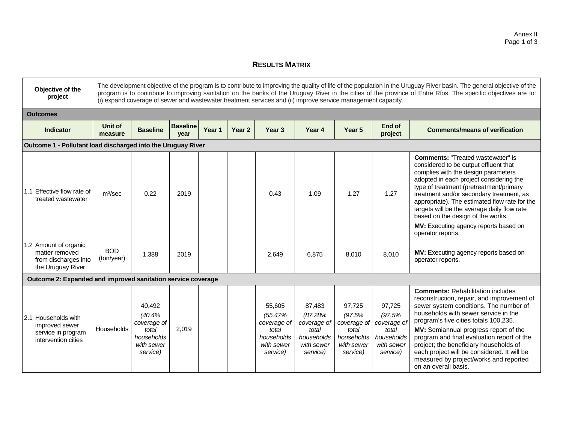## **RESULTS MATRIX**

| Objective of the<br>project                                                                                    | The development objective of the program is to contribute to improving the quality of life of the population in the Uruguay River basin. The general objective of the<br>program is to contribute to improving sanitation on the banks of the Uruguay River in the cities of the province of Entre Ríos. The specific objectives are to:<br>(i) expand coverage of sewer and wastewater treatment services and (ii) improve service management capacity. |                                                                                  |                         |        |        |                                                                                   |                                                                                   |                                                                                  |                                                                                  |                                                                                                                                                                                                                                                                                                                                                                                                                                                                     |  |  |
|----------------------------------------------------------------------------------------------------------------|----------------------------------------------------------------------------------------------------------------------------------------------------------------------------------------------------------------------------------------------------------------------------------------------------------------------------------------------------------------------------------------------------------------------------------------------------------|----------------------------------------------------------------------------------|-------------------------|--------|--------|-----------------------------------------------------------------------------------|-----------------------------------------------------------------------------------|----------------------------------------------------------------------------------|----------------------------------------------------------------------------------|---------------------------------------------------------------------------------------------------------------------------------------------------------------------------------------------------------------------------------------------------------------------------------------------------------------------------------------------------------------------------------------------------------------------------------------------------------------------|--|--|
| <b>Outcomes</b>                                                                                                |                                                                                                                                                                                                                                                                                                                                                                                                                                                          |                                                                                  |                         |        |        |                                                                                   |                                                                                   |                                                                                  |                                                                                  |                                                                                                                                                                                                                                                                                                                                                                                                                                                                     |  |  |
| <b>Indicator</b>                                                                                               | Unit of<br>measure                                                                                                                                                                                                                                                                                                                                                                                                                                       | <b>Baseline</b>                                                                  | <b>Baseline</b><br>vear | Year 1 | Year 2 | Year <sub>3</sub>                                                                 | Year 4                                                                            | Year 5                                                                           | End of<br>project                                                                | <b>Comments/means of verification</b>                                                                                                                                                                                                                                                                                                                                                                                                                               |  |  |
| Outcome 1 - Pollutant load discharged into the Uruguay River                                                   |                                                                                                                                                                                                                                                                                                                                                                                                                                                          |                                                                                  |                         |        |        |                                                                                   |                                                                                   |                                                                                  |                                                                                  |                                                                                                                                                                                                                                                                                                                                                                                                                                                                     |  |  |
| 1.1 Effective flow rate of<br>$m^3$ /sec<br>0.22<br>2019<br>0.43<br>1.09<br>1.27<br>1.27<br>treated wastewater |                                                                                                                                                                                                                                                                                                                                                                                                                                                          |                                                                                  |                         |        |        |                                                                                   |                                                                                   |                                                                                  |                                                                                  | <b>Comments: "Treated wastewater" is</b><br>considered to be output effluent that<br>complies with the design parameters<br>adopted in each project considering the<br>type of treatment (pretreatment/primary<br>treatment and/or secondary treatment, as<br>appropriate). The estimated flow rate for the<br>targets will be the average daily flow rate<br>based on the design of the works.<br>MV: Executing agency reports based on<br>operator reports.       |  |  |
| 1.2 Amount of organic<br>matter removed<br>from discharges into<br>the Uruguay River                           | <b>BOD</b><br>(ton/year)                                                                                                                                                                                                                                                                                                                                                                                                                                 | 1,388                                                                            | 2019                    |        |        | 2,649                                                                             | 6.875                                                                             | 8,010                                                                            | 8,010                                                                            | MV: Executing agency reports based on<br>operator reports.                                                                                                                                                                                                                                                                                                                                                                                                          |  |  |
| Outcome 2: Expanded and improved sanitation service coverage                                                   |                                                                                                                                                                                                                                                                                                                                                                                                                                                          |                                                                                  |                         |        |        |                                                                                   |                                                                                   |                                                                                  |                                                                                  |                                                                                                                                                                                                                                                                                                                                                                                                                                                                     |  |  |
| 2.1 Households with<br>improved sewer<br>service in program<br>intervention cities                             | <b>Households</b>                                                                                                                                                                                                                                                                                                                                                                                                                                        | 40,492<br>(40.4%<br>coverage of<br>total<br>households<br>with sewer<br>service) | 2.019                   |        |        | 55,605<br>(55.47%<br>coverage of<br>total<br>households<br>with sewer<br>service) | 87,483<br>(87.28%<br>coverage of<br>total<br>households<br>with sewer<br>service) | 97,725<br>(97.5%<br>coverage of<br>total<br>households<br>with sewer<br>service) | 97,725<br>(97.5%<br>coverage of<br>total<br>households<br>with sewer<br>service) | <b>Comments: Rehabilitation includes</b><br>reconstruction, repair, and improvement of<br>sewer system conditions. The number of<br>households with sewer service in the<br>program's five cities totals 100,235.<br>MV: Semiannual progress report of the<br>program and final evaluation report of the<br>project; the beneficiary households of<br>each project will be considered. It will be<br>measured by project/works and reported<br>on an overall basis. |  |  |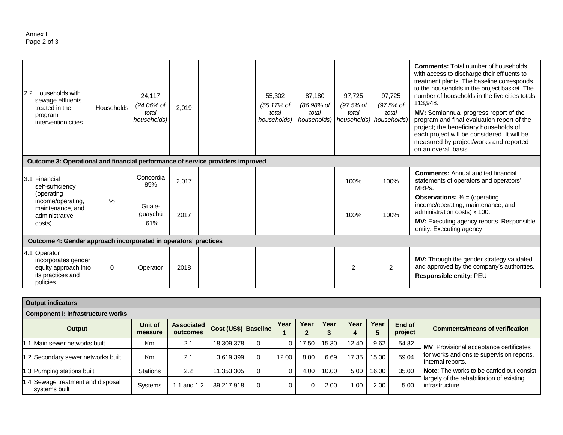| 2.2 Households with<br>sewage effluents<br>treated in the<br>program<br>intervention cities<br>Outcome 3: Operational and financial performance of service providers improved | Households | 24,117<br>(24.06% of<br>total<br>households) | 2,019             |      |  | 55,302<br>(55.17% of<br>total<br>households) | 87.180<br>(86.98% of<br>total<br>households) | 97.725<br>(97.5% of<br>total | 97.725<br>(97.5% of<br>total<br>households)   households) | <b>Comments:</b> Total number of households<br>with access to discharge their effluents to<br>treatment plants. The baseline corresponds<br>to the households in the project basket. The<br>number of households in the five cities totals<br>113,948.<br>MV: Semiannual progress report of the<br>program and final evaluation report of the<br>project; the beneficiary households of<br>each project will be considered. It will be<br>measured by project/works and reported<br>on an overall basis. |                                                                                                              |
|-------------------------------------------------------------------------------------------------------------------------------------------------------------------------------|------------|----------------------------------------------|-------------------|------|--|----------------------------------------------|----------------------------------------------|------------------------------|-----------------------------------------------------------|----------------------------------------------------------------------------------------------------------------------------------------------------------------------------------------------------------------------------------------------------------------------------------------------------------------------------------------------------------------------------------------------------------------------------------------------------------------------------------------------------------|--------------------------------------------------------------------------------------------------------------|
|                                                                                                                                                                               |            |                                              |                   |      |  |                                              |                                              |                              |                                                           |                                                                                                                                                                                                                                                                                                                                                                                                                                                                                                          |                                                                                                              |
| 3.1 Financial<br>self-sufficiency                                                                                                                                             |            | Concordia<br>85%                             | 2,017             |      |  |                                              |                                              | 100%                         | 100%                                                      | <b>Comments: Annual audited financial</b><br>statements of operators and operators'<br>MRPs.                                                                                                                                                                                                                                                                                                                                                                                                             |                                                                                                              |
| (operating<br>income/operating,<br>maintenance, and<br>administrative                                                                                                         | $\%$       |                                              | Guale-<br>guaychú | 2017 |  |                                              |                                              |                              | 100%                                                      | 100%                                                                                                                                                                                                                                                                                                                                                                                                                                                                                                     | <b>Observations:</b> $% = (operating)$<br>income/operating, maintenance, and<br>administration costs) x 100. |
| costs).                                                                                                                                                                       |            |                                              | 61%               |      |  |                                              |                                              |                              |                                                           |                                                                                                                                                                                                                                                                                                                                                                                                                                                                                                          | MV: Executing agency reports. Responsible<br>entity: Executing agency                                        |
| Outcome 4: Gender approach incorporated in operators' practices                                                                                                               |            |                                              |                   |      |  |                                              |                                              |                              |                                                           |                                                                                                                                                                                                                                                                                                                                                                                                                                                                                                          |                                                                                                              |
| 4.1 Operator<br>incorporates gender<br>equity approach into<br>its practices and<br>policies                                                                                  | $\Omega$   | Operator                                     | 2018              |      |  |                                              |                                              | $\overline{2}$               | $\overline{2}$                                            | MV: Through the gender strategy validated<br>and approved by the company's authorities.<br>Responsible entity: PEU                                                                                                                                                                                                                                                                                                                                                                                       |                                                                                                              |

| <b>Output indicators</b>                           |                           |                               |                      |   |       |           |           |       |           |                   |                                                                                                                    |  |
|----------------------------------------------------|---------------------------|-------------------------------|----------------------|---|-------|-----------|-----------|-------|-----------|-------------------|--------------------------------------------------------------------------------------------------------------------|--|
| <b>Component I: Infrastructure works</b>           |                           |                               |                      |   |       |           |           |       |           |                   |                                                                                                                    |  |
| Output                                             | <b>Unit of</b><br>measure | <b>Associated</b><br>outcomes | Cost (US\$) Baseline |   | Year  | Year<br>◠ | Year<br>3 | Year  | Year<br>5 | End of<br>project | <b>Comments/means of verification</b>                                                                              |  |
| Main sewer networks built                          | Km                        | 2.1                           | 18,309,378           | 0 |       | 17.50     | 15.30     | 12.40 | 9.62      | 54.82             | <b>MV:</b> Provisional acceptance certificates                                                                     |  |
| 1.2 Secondary sewer networks built                 | Κm                        | 2.1                           | 3,619,399            | 0 | 12.00 | 8.00      | 6.69      | 17.35 | 15.00     | 59.04             | for works and onsite supervision reports.<br>Internal reports.<br><b>Note:</b> The works to be carried out consist |  |
| 1.3 Pumping stations built                         | <b>Stations</b>           | 2.2                           | 11,353,305           | 0 |       | 4.00      | 10.00     | 5.00  | 16.00     | 35.00             |                                                                                                                    |  |
| 1.4 Sewage treatment and disposal<br>systems built | <b>Systems</b>            | I and 1.2                     | 39,217,918           | 0 |       |           | 2.00      | .00   | 2.00      | 5.00              | largely of the rehabilitation of existing<br>infrastructure.                                                       |  |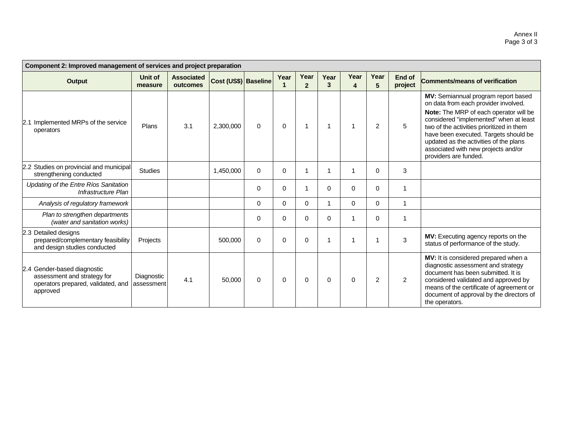| Component 2: Improved management of services and project preparation                                         |                          |                               |                      |          |          |                        |             |           |                |                   |                                                                                                                                                                                                                                                                                                                                                                 |
|--------------------------------------------------------------------------------------------------------------|--------------------------|-------------------------------|----------------------|----------|----------|------------------------|-------------|-----------|----------------|-------------------|-----------------------------------------------------------------------------------------------------------------------------------------------------------------------------------------------------------------------------------------------------------------------------------------------------------------------------------------------------------------|
| Output                                                                                                       | Unit of<br>measure       | <b>Associated</b><br>outcomes | Cost (US\$) Baseline |          | Year     | Year<br>$\overline{2}$ | Year<br>3   | Year<br>4 | Year<br>5      | End of<br>project | <b>Comments/means of verification</b>                                                                                                                                                                                                                                                                                                                           |
| 2.1 Implemented MRPs of the service<br>operators                                                             | Plans                    | 3.1                           | 2,300,000            | 0        | $\Omega$ |                        | 1           |           | $\overline{2}$ | 5                 | MV: Semiannual program report based<br>on data from each provider involved.<br>Note: The MRP of each operator will be<br>considered "implemented" when at least<br>two of the activities prioritized in them<br>have been executed. Targets should be<br>updated as the activities of the plans<br>associated with new projects and/or<br>providers are funded. |
| 2.2 Studies on provincial and municipal<br>strengthening conducted                                           | <b>Studies</b>           |                               | 1,450,000            | 0        | $\Omega$ |                        |             |           | 0              | 3                 |                                                                                                                                                                                                                                                                                                                                                                 |
| Updating of the Entre Ríos Sanitation<br>Infrastructure Plan                                                 |                          |                               |                      | $\Omega$ | 0        |                        | $\Omega$    | $\Omega$  | $\Omega$       | 1                 |                                                                                                                                                                                                                                                                                                                                                                 |
| Analysis of regulatory framework                                                                             |                          |                               |                      | 0        | 0        | $\Omega$               |             | $\Omega$  | $\Omega$       |                   |                                                                                                                                                                                                                                                                                                                                                                 |
| Plan to strengthen departments<br>(water and sanitation works)                                               |                          |                               |                      | $\Omega$ | $\Omega$ | 0                      | $\mathbf 0$ |           | $\Omega$       | 1                 |                                                                                                                                                                                                                                                                                                                                                                 |
| 2.3 Detailed designs<br>prepared/complementary feasibility<br>and design studies conducted                   | Projects                 |                               | 500,000              | $\Omega$ | $\Omega$ | 0                      |             |           |                | 3                 | MV: Executing agency reports on the<br>status of performance of the study.                                                                                                                                                                                                                                                                                      |
| 2.4 Gender-based diagnostic<br>assessment and strategy for<br>operators prepared, validated, and<br>approved | Diagnostic<br>assessment | 4.1                           | 50,000               | $\Omega$ | $\Omega$ | $\Omega$               | 0           | $\Omega$  | 2              | $\overline{2}$    | MV: It is considered prepared when a<br>diagnostic assessment and strategy<br>document has been submitted. It is<br>considered validated and approved by<br>means of the certificate of agreement or<br>document of approval by the directors of<br>the operators.                                                                                              |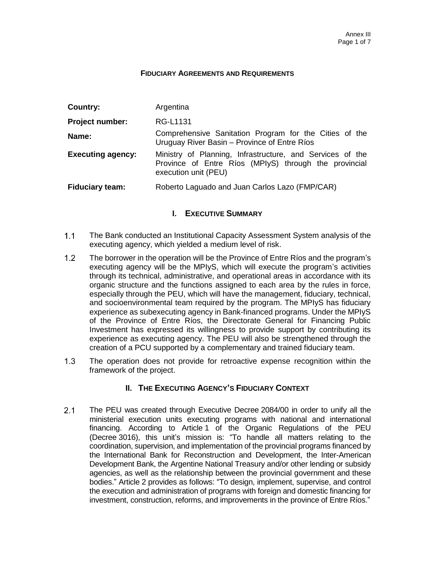#### **FIDUCIARY AGREEMENTS AND REQUIREMENTS**

| Country:                 | Argentina                                                                                                                                  |
|--------------------------|--------------------------------------------------------------------------------------------------------------------------------------------|
| Project number:          | RG-L1131                                                                                                                                   |
| Name:                    | Comprehensive Sanitation Program for the Cities of the<br>Uruguay River Basin - Province of Entre Ríos                                     |
| <b>Executing agency:</b> | Ministry of Planning, Infrastructure, and Services of the<br>Province of Entre Ríos (MPIyS) through the provincial<br>execution unit (PEU) |
| <b>Fiduciary team:</b>   | Roberto Laguado and Juan Carlos Lazo (FMP/CAR)                                                                                             |

## **I. EXECUTIVE SUMMARY**

- $1.1$ The Bank conducted an Institutional Capacity Assessment System analysis of the executing agency, which yielded a medium level of risk.
- $1.2<sub>2</sub>$ The borrower in the operation will be the Province of Entre Ríos and the program's executing agency will be the MPIyS, which will execute the program's activities through its technical, administrative, and operational areas in accordance with its organic structure and the functions assigned to each area by the rules in force, especially through the PEU, which will have the management, fiduciary, technical, and socioenvironmental team required by the program. The MPIyS has fiduciary experience as subexecuting agency in Bank-financed programs. Under the MPIyS of the Province of Entre Ríos, the Directorate General for Financing Public Investment has expressed its willingness to provide support by contributing its experience as executing agency. The PEU will also be strengthened through the creation of a PCU supported by a complementary and trained fiduciary team.
- $1.3$ The operation does not provide for retroactive expense recognition within the framework of the project.

### **II. THE EXECUTING AGENCY'S FIDUCIARY CONTEXT**

 $2.1$ The PEU was created through Executive Decree 2084/00 in order to unify all the ministerial execution units executing programs with national and international financing. According to Article 1 of the Organic Regulations of the PEU (Decree 3016), this unit's mission is: "To handle all matters relating to the coordination, supervision, and implementation of the provincial programs financed by the International Bank for Reconstruction and Development, the Inter-American Development Bank, the Argentine National Treasury and/or other lending or subsidy agencies, as well as the relationship between the provincial government and these bodies." Article 2 provides as follows: "To design, implement, supervise, and control the execution and administration of programs with foreign and domestic financing for investment, construction, reforms, and improvements in the province of Entre Ríos."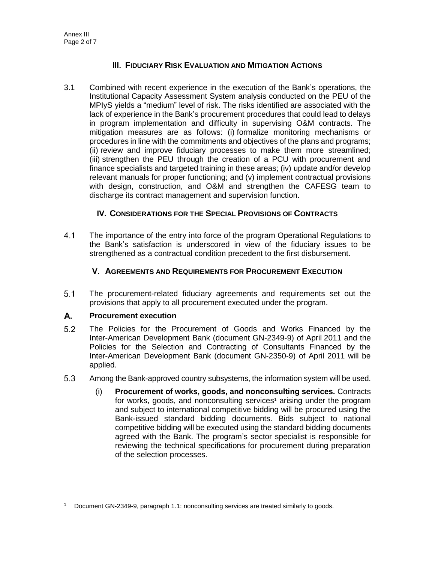## **III. FIDUCIARY RISK EVALUATION AND MITIGATION ACTIONS**

3.1 Combined with recent experience in the execution of the Bank's operations, the Institutional Capacity Assessment System analysis conducted on the PEU of the MPIyS yields a "medium" level of risk. The risks identified are associated with the lack of experience in the Bank's procurement procedures that could lead to delays in program implementation and difficulty in supervising O&M contracts. The mitigation measures are as follows: (i) formalize monitoring mechanisms or procedures in line with the commitments and objectives of the plans and programs; (ii) review and improve fiduciary processes to make them more streamlined; (iii) strengthen the PEU through the creation of a PCU with procurement and finance specialists and targeted training in these areas; (iv) update and/or develop relevant manuals for proper functioning; and (v) implement contractual provisions with design, construction, and O&M and strengthen the CAFESG team to discharge its contract management and supervision function.

### **IV. CONSIDERATIONS FOR THE SPECIAL PROVISIONS OF CONTRACTS**

 $4.1$ The importance of the entry into force of the program Operational Regulations to the Bank's satisfaction is underscored in view of the fiduciary issues to be strengthened as a contractual condition precedent to the first disbursement.

### **V. AGREEMENTS AND REQUIREMENTS FOR PROCUREMENT EXECUTION**

 $5.1$ The procurement-related fiduciary agreements and requirements set out the provisions that apply to all procurement executed under the program.

#### А. **Procurement execution**

- $5.2$ The Policies for the Procurement of Goods and Works Financed by the Inter-American Development Bank (document GN-2349-9) of April 2011 and the Policies for the Selection and Contracting of Consultants Financed by the Inter-American Development Bank (document GN-2350-9) of April 2011 will be applied.
- $5.3$ Among the Bank-approved country subsystems, the information system will be used.
	- (i) **Procurement of works, goods, and nonconsulting services.** Contracts for works, goods, and nonconsulting services<sup>1</sup> arising under the program and subject to international competitive bidding will be procured using the Bank-issued standard bidding documents. Bids subject to national competitive bidding will be executed using the standard bidding documents agreed with the Bank. The program's sector specialist is responsible for reviewing the technical specifications for procurement during preparation of the selection processes.

Document GN-2349-9, paragraph 1.1: nonconsulting services are treated similarly to goods.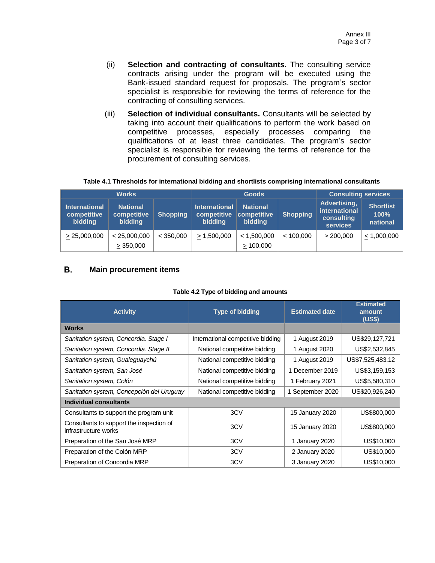- (ii) **Selection and contracting of consultants.** The consulting service contracts arising under the program will be executed using the Bank-issued standard request for proposals. The program's sector specialist is responsible for reviewing the terms of reference for the contracting of consulting services.
- (iii) **Selection of individual consultants.** Consultants will be selected by taking into account their qualifications to perform the work based on competitive processes, especially processes comparing the qualifications of at least three candidates. The program's sector specialist is responsible for reviewing the terms of reference for the procurement of consulting services.

| Table 4.1 Thresholds for international bidding and shortlists comprising international consultants |  |  |
|----------------------------------------------------------------------------------------------------|--|--|
|----------------------------------------------------------------------------------------------------|--|--|

| <b>Works</b>                                   |                                           | <b>Goods</b>    |                                                |                                                         | <b>Consulting services</b> |                                                                |                                      |
|------------------------------------------------|-------------------------------------------|-----------------|------------------------------------------------|---------------------------------------------------------|----------------------------|----------------------------------------------------------------|--------------------------------------|
| <b>International</b><br>competitive<br>bidding | <b>National</b><br>competitive<br>bidding | <b>Shopping</b> | <b>International</b><br>competitive<br>bidding | <b>National</b><br><b>competitive</b><br><b>bidding</b> | <b>Shopping</b>            | Advertising,<br>international<br>consulting<br><b>services</b> | <b>Shortlist</b><br>100%<br>national |
| > 25,000,000                                   | < 25,000,000<br>>350,000                  | < 350,000       | $\geq 1,500,000$                               | < 1,500,000<br>>100,000                                 | < 100.000                  | > 200,000                                                      | $\leq$ 1,000,000                     |

#### В. **Main procurement items**

| <b>Activity</b>                                                  | <b>Type of bidding</b>            | <b>Estimated date</b> | <b>Estimated</b><br>amount<br>(US\$) |
|------------------------------------------------------------------|-----------------------------------|-----------------------|--------------------------------------|
| <b>Works</b>                                                     |                                   |                       |                                      |
| Sanitation system, Concordia. Stage I                            | International competitive bidding | 1 August 2019         | US\$29,127,721                       |
| Sanitation system, Concordia. Stage II                           | National competitive bidding      | 1 August 2020         | US\$2,532,845                        |
| Sanitation system, Gualeguaychú                                  | National competitive bidding      | 1 August 2019         | US\$7,525,483.12                     |
| Sanitation system, San José                                      | National competitive bidding      | December 2019         | US\$3,159,153                        |
| Sanitation system, Colón                                         | National competitive bidding      | 1 February 2021       | US\$5,580,310                        |
| Sanitation system, Concepción del Uruguay                        | National competitive bidding      | 1 September 2020      | US\$20,926,240                       |
| Individual consultants                                           |                                   |                       |                                      |
| Consultants to support the program unit                          | 3CV                               | 15 January 2020       | US\$800,000                          |
| Consultants to support the inspection of<br>infrastructure works | 3CV                               | 15 January 2020       | US\$800,000                          |
| Preparation of the San José MRP                                  | 3CV                               | 1 January 2020        | US\$10,000                           |
| Preparation of the Colón MRP                                     | 3CV                               | 2 January 2020        | US\$10,000                           |
| Preparation of Concordia MRP                                     | 3CV                               | 3 January 2020        | US\$10,000                           |

#### **Table 4.2 Type of bidding and amounts**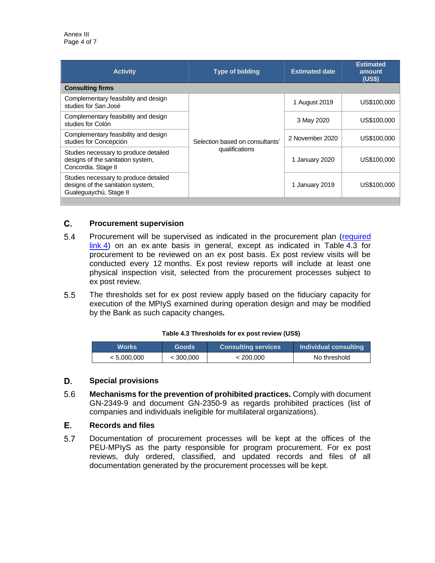| <b>Activity</b>                                                                                      | <b>Type of bidding</b>          | <b>Estimated date</b> | <b>Estimated</b><br>amount<br>(US\$) |
|------------------------------------------------------------------------------------------------------|---------------------------------|-----------------------|--------------------------------------|
| <b>Consulting firms</b>                                                                              |                                 |                       |                                      |
| Complementary feasibility and design<br>studies for San José                                         |                                 | 1 August 2019         | US\$100,000                          |
| Complementary feasibility and design<br>studies for Colón                                            |                                 | 3 May 2020            | US\$100,000                          |
| Complementary feasibility and design<br>studies for Concepción                                       | Selection based on consultants' | 2 November 2020       | US\$100,000                          |
| Studies necessary to produce detailed<br>designs of the sanitation system,<br>Concordia. Stage II    | qualifications                  | 1 January 2020        | US\$100,000                          |
| Studies necessary to produce detailed<br>designs of the sanitation system,<br>Gualeguaychú, Stage II |                                 | 1 January 2019        | US\$100,000                          |
|                                                                                                      |                                 |                       |                                      |

#### $\mathbf{C}$ . **Procurement supervision**

- 5.4 Procurement will be supervised as indicated in the procurement plan (required [link](http://idbdocs.iadb.org/wsdocs/getDocument.aspx?DOCNUM=EZSHARE-1117939182-29) 4) on an ex ante basis in general, except as indicated in Table 4.3 for procurement to be reviewed on an ex post basis. Ex post review visits will be conducted every 12 months. Ex post review reports will include at least one physical inspection visit, selected from the procurement processes subject to ex post review.
- $5.5$ The thresholds set for ex post review apply based on the fiduciary capacity for execution of the MPIyS examined during operation design and may be modified by the Bank as such capacity changes**.**

#### **Table 4.3 Thresholds for ex post review (US\$)**

| Works       | <b>Goods</b> | <b>Consulting services</b> | Individual consulting |
|-------------|--------------|----------------------------|-----------------------|
| < 5.000.000 | $<$ 300,000  | < 200.000                  | No threshold          |

#### D. **Special provisions**

- 5.6 **Mechanisms for the prevention of prohibited practices.** Comply with document GN-2349-9 and document GN-2350-9 as regards prohibited practices (list of companies and individuals ineligible for multilateral organizations).
- Е. **Records and files**
- $5.7$ Documentation of procurement processes will be kept at the offices of the PEU-MPIyS as the party responsible for program procurement. For ex post reviews, duly ordered, classified, and updated records and files of all documentation generated by the procurement processes will be kept.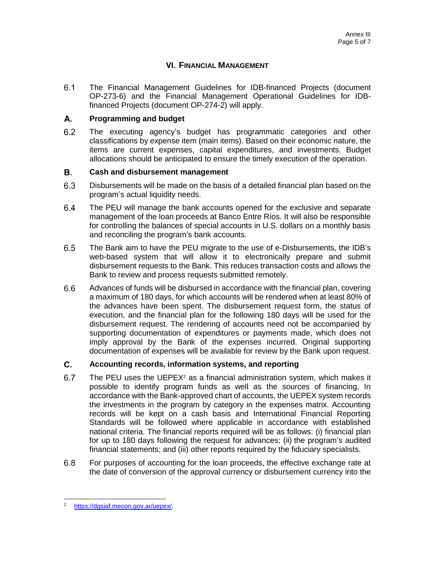## **VI. FINANCIAL MANAGEMENT**

 $6.1$ The Financial Management Guidelines for IDB-financed Projects (document OP-273-6) and the Financial Management Operational Guidelines for IDBfinanced Projects (document OP-274-2) will apply.

#### A. **Programming and budget**

 $6.2$ The executing agency's budget has programmatic categories and other classifications by expense item (main items). Based on their economic nature, the items are current expenses, capital expenditures, and investments. Budget allocations should be anticipated to ensure the timely execution of the operation.

#### **B. Cash and disbursement management**

- $6.3$ Disbursements will be made on the basis of a detailed financial plan based on the program's actual liquidity needs.
- $6.4$ The PEU will manage the bank accounts opened for the exclusive and separate management of the loan proceeds at Banco Entre Ríos. It will also be responsible for controlling the balances of special accounts in U.S. dollars on a monthly basis and reconciling the program's bank accounts.
- $6.5$ The Bank aim to have the PEU migrate to the use of e-Disbursements, the IDB's web-based system that will allow it to electronically prepare and submit disbursement requests to the Bank. This reduces transaction costs and allows the Bank to review and process requests submitted remotely.
- $6.6$ Advances of funds will be disbursed in accordance with the financial plan, covering a maximum of 180 days, for which accounts will be rendered when at least 80% of the advances have been spent. The disbursement request form, the status of execution, and the financial plan for the following 180 days will be used for the disbursement request. The rendering of accounts need not be accompanied by supporting documentation of expenditures or payments made, which does not imply approval by the Bank of the expenses incurred. Original supporting documentation of expenses will be available for review by the Bank upon request.

#### C. **Accounting records, information systems, and reporting**

- $6.7$ The PEU uses the UEPEX $2$  as a financial administration system, which makes it possible to identify program funds as well as the sources of financing. In accordance with the Bank-approved chart of accounts, the UEPEX system records the investments in the program by category in the expenses matrix. Accounting records will be kept on a cash basis and International Financial Reporting Standards will be followed where applicable in accordance with established national criteria. The financial reports required will be as follows: (i) financial plan for up to 180 days following the request for advances; (ii) the program's audited financial statements; and (iii) other reports required by the fiduciary specialists.
- $6.8$ For purposes of accounting for the loan proceeds, the effective exchange rate at the date of conversion of the approval currency or disbursement currency into the

<sup>2</sup> [https://dgsiaf.mecon.gov.ar/uepex/.](https://dgsiaf.mecon.gov.ar/uepex/)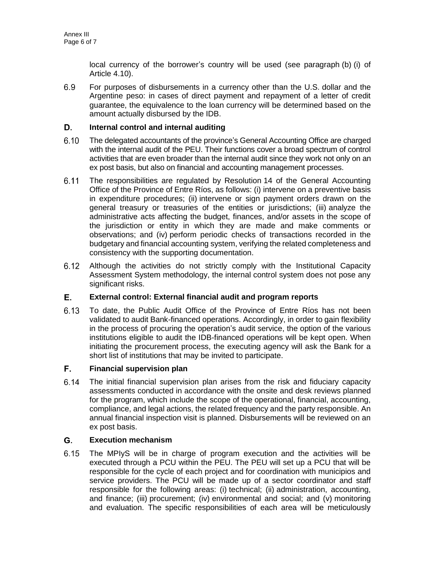local currency of the borrower's country will be used (see paragraph (b) (i) of Article 4.10).

 $6.9$ For purposes of disbursements in a currency other than the U.S. dollar and the Argentine peso: in cases of direct payment and repayment of a letter of credit guarantee, the equivalence to the loan currency will be determined based on the amount actually disbursed by the IDB.

#### D. **Internal control and internal auditing**

- $6.10$ The delegated accountants of the province's General Accounting Office are charged with the internal audit of the PEU. Their functions cover a broad spectrum of control activities that are even broader than the internal audit since they work not only on an ex post basis, but also on financial and accounting management processes.
- $6.11$ The responsibilities are regulated by Resolution 14 of the General Accounting Office of the Province of Entre Ríos, as follows: (i) intervene on a preventive basis in expenditure procedures; (ii) intervene or sign payment orders drawn on the general treasury or treasuries of the entities or jurisdictions; (iii) analyze the administrative acts affecting the budget, finances, and/or assets in the scope of the jurisdiction or entity in which they are made and make comments or observations; and (iv) perform periodic checks of transactions recorded in the budgetary and financial accounting system, verifying the related completeness and consistency with the supporting documentation.
- $6.12$ Although the activities do not strictly comply with the Institutional Capacity Assessment System methodology, the internal control system does not pose any significant risks.

#### Е. **External control: External financial audit and program reports**

 $6.13$ To date, the Public Audit Office of the Province of Entre Ríos has not been validated to audit Bank-financed operations. Accordingly, in order to gain flexibility in the process of procuring the operation's audit service, the option of the various institutions eligible to audit the IDB-financed operations will be kept open. When initiating the procurement process, the executing agency will ask the Bank for a short list of institutions that may be invited to participate.

#### F. **Financial supervision plan**

 $6.14$ The initial financial supervision plan arises from the risk and fiduciary capacity assessments conducted in accordance with the onsite and desk reviews planned for the program, which include the scope of the operational, financial, accounting, compliance, and legal actions, the related frequency and the party responsible. An annual financial inspection visit is planned. Disbursements will be reviewed on an ex post basis.

#### G. **Execution mechanism**

 $6.15$ The MPIyS will be in charge of program execution and the activities will be executed through a PCU within the PEU. The PEU will set up a PCU that will be responsible for the cycle of each project and for coordination with municipios and service providers. The PCU will be made up of a sector coordinator and staff responsible for the following areas: (i) technical; (ii) administration, accounting, and finance; (iii) procurement; (iv) environmental and social; and (v) monitoring and evaluation. The specific responsibilities of each area will be meticulously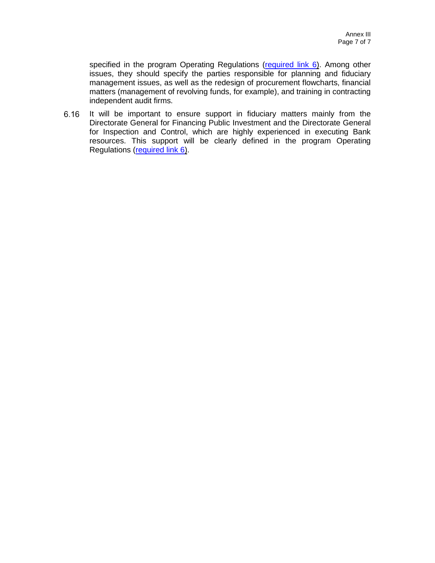specified in the program Operating Regulations [\(required link 6\)](http://idbdocs.iadb.org/wsdocs/getDocument.aspx?DOCNUM=EZSHARE-1117939182-24). Among other issues, they should specify the parties responsible for planning and fiduciary management issues, as well as the redesign of procurement flowcharts, financial matters (management of revolving funds, for example), and training in contracting independent audit firms.

It will be important to ensure support in fiduciary matters mainly from the  $6.16$ Directorate General for Financing Public Investment and the Directorate General for Inspection and Control, which are highly experienced in executing Bank resources. This support will be clearly defined in the program Operating Regulations [\(required link 6\)](http://idbdocs.iadb.org/wsdocs/getDocument.aspx?DOCNUM=EZSHARE-1117939182-24).